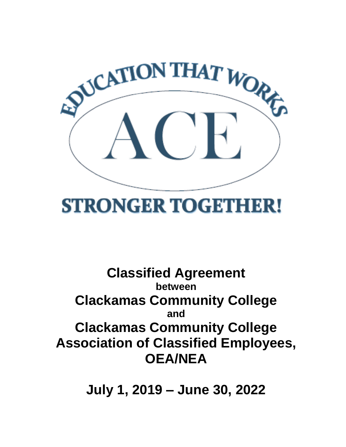

# **STRONGER TOGETHER!**

## **Classified Agreement between Clackamas Community College and Clackamas Community College Association of Classified Employees, OEA/NEA**

**July 1, 2019 – June 30, 2022**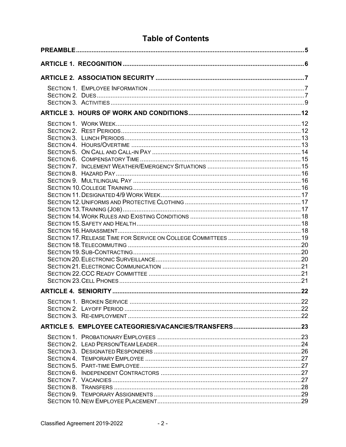## **Table of Contents**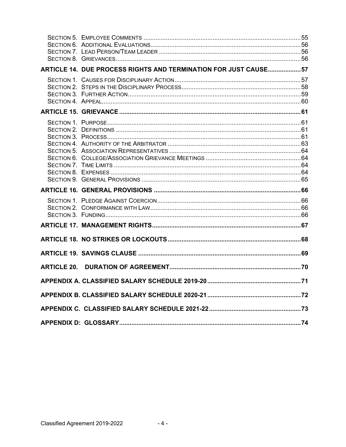| ARTICLE 14. DUE PROCESS RIGHTS AND TERMINATION FOR JUST CAUSE57 |  |
|-----------------------------------------------------------------|--|
|                                                                 |  |
|                                                                 |  |
|                                                                 |  |
|                                                                 |  |
|                                                                 |  |
|                                                                 |  |
|                                                                 |  |
|                                                                 |  |
|                                                                 |  |
|                                                                 |  |
|                                                                 |  |
|                                                                 |  |
|                                                                 |  |
|                                                                 |  |
|                                                                 |  |
|                                                                 |  |
|                                                                 |  |
|                                                                 |  |
|                                                                 |  |
|                                                                 |  |
|                                                                 |  |
|                                                                 |  |
|                                                                 |  |
|                                                                 |  |
|                                                                 |  |
|                                                                 |  |
|                                                                 |  |
|                                                                 |  |
|                                                                 |  |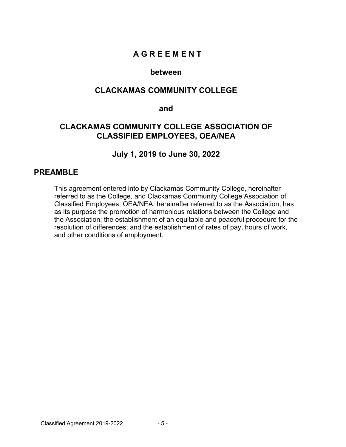## **A G R E E M E N T**

#### **between**

### **CLACKAMAS COMMUNITY COLLEGE**

#### **and**

## **CLACKAMAS COMMUNITY COLLEGE ASSOCIATION OF CLASSIFIED EMPLOYEES, OEA/NEA**

#### **July 1, 2019 to June 30, 2022**

#### **PREAMBLE**

This agreement entered into by Clackamas Community College, hereinafter referred to as the College, and Clackamas Community College Association of Classified Employees, OEA/NEA, hereinafter referred to as the Association, has as its purpose the promotion of harmonious relations between the College and the Association; the establishment of an equitable and peaceful procedure for the resolution of differences; and the establishment of rates of pay, hours of work, and other conditions of employment.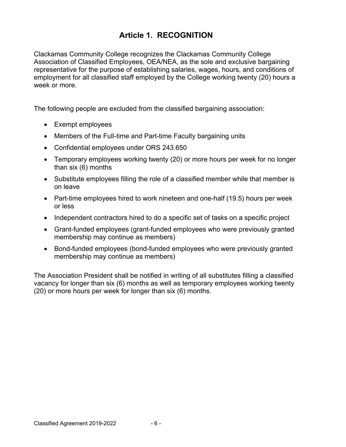## **Article 1. RECOGNITION**

Clackamas Community College recognizes the Clackamas Community College Association of Classified Employees, OEA/NEA, as the sole and exclusive bargaining representative for the purpose of establishing salaries, wages, hours, and conditions of employment for all classified staff employed by the College working twenty (20) hours a week or more.

The following people are excluded from the classified bargaining association:

- Exempt employees
- Members of the Full-time and Part-time Faculty bargaining units
- Confidential employees under ORS 243.650
- Temporary employees working twenty (20) or more hours per week for no longer than six (6) months
- Substitute employees filling the role of a classified member while that member is on leave
- Part-time employees hired to work nineteen and one-half (19.5) hours per week or less
- Independent contractors hired to do a specific set of tasks on a specific project
- Grant-funded employees (grant-funded employees who were previously granted membership may continue as members)
- Bond-funded employees (bond-funded employees who were previously granted membership may continue as members)

The Association President shall be notified in writing of all substitutes filling a classified vacancy for longer than six (6) months as well as temporary employees working twenty (20) or more hours per week for longer than six (6) months.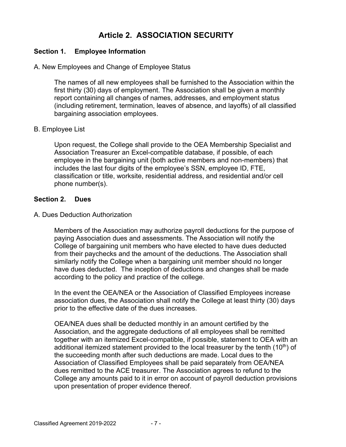## **Article 2. ASSOCIATION SECURITY**

#### **Section 1. Employee Information**

#### A. New Employees and Change of Employee Status

The names of all new employees shall be furnished to the Association within the first thirty (30) days of employment. The Association shall be given a monthly report containing all changes of names, addresses, and employment status (including retirement, termination, leaves of absence, and layoffs) of all classified bargaining association employees.

#### B. Employee List

Upon request, the College shall provide to the OEA Membership Specialist and Association Treasurer an Excel-compatible database, if possible, of each employee in the bargaining unit (both active members and non-members) that includes the last four digits of the employee's SSN, employee ID, FTE, classification or title, worksite, residential address, and residential and/or cell phone number(s).

#### **Section 2. Dues**

#### A. Dues Deduction Authorization

Members of the Association may authorize payroll deductions for the purpose of paying Association dues and assessments. The Association will notify the College of bargaining unit members who have elected to have dues deducted from their paychecks and the amount of the deductions. The Association shall similarly notify the College when a bargaining unit member should no longer have dues deducted. The inception of deductions and changes shall be made according to the policy and practice of the college.

In the event the OEA/NEA or the Association of Classified Employees increase association dues, the Association shall notify the College at least thirty (30) days prior to the effective date of the dues increases.

OEA/NEA dues shall be deducted monthly in an amount certified by the Association, and the aggregate deductions of all employees shall be remitted together with an itemized Excel-compatible, if possible, statement to OEA with an additional itemized statement provided to the local treasurer by the tenth  $(10<sup>th</sup>)$  of the succeeding month after such deductions are made. Local dues to the Association of Classified Employees shall be paid separately from OEA/NEA dues remitted to the ACE treasurer. The Association agrees to refund to the College any amounts paid to it in error on account of payroll deduction provisions upon presentation of proper evidence thereof.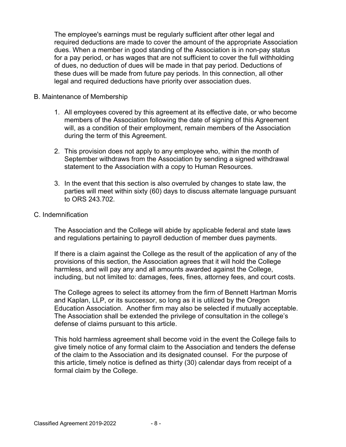The employee's earnings must be regularly sufficient after other legal and required deductions are made to cover the amount of the appropriate Association dues. When a member in good standing of the Association is in non-pay status for a pay period, or has wages that are not sufficient to cover the full withholding of dues, no deduction of dues will be made in that pay period. Deductions of these dues will be made from future pay periods. In this connection, all other legal and required deductions have priority over association dues.

#### B. Maintenance of Membership

- 1. All employees covered by this agreement at its effective date, or who become members of the Association following the date of signing of this Agreement will, as a condition of their employment, remain members of the Association during the term of this Agreement.
- 2. This provision does not apply to any employee who, within the month of September withdraws from the Association by sending a signed withdrawal statement to the Association with a copy to Human Resources.
- 3. In the event that this section is also overruled by changes to state law, the parties will meet within sixty (60) days to discuss alternate language pursuant to ORS 243.702.

#### C. Indemnification

The Association and the College will abide by applicable federal and state laws and regulations pertaining to payroll deduction of member dues payments.

If there is a claim against the College as the result of the application of any of the provisions of this section, the Association agrees that it will hold the College harmless, and will pay any and all amounts awarded against the College, including, but not limited to: damages, fees, fines, attorney fees, and court costs.

The College agrees to select its attorney from the firm of Bennett Hartman Morris and Kaplan, LLP, or its successor, so long as it is utilized by the Oregon Education Association. Another firm may also be selected if mutually acceptable. The Association shall be extended the privilege of consultation in the college's defense of claims pursuant to this article.

This hold harmless agreement shall become void in the event the College fails to give timely notice of any formal claim to the Association and tenders the defense of the claim to the Association and its designated counsel. For the purpose of this article, timely notice is defined as thirty (30) calendar days from receipt of a formal claim by the College.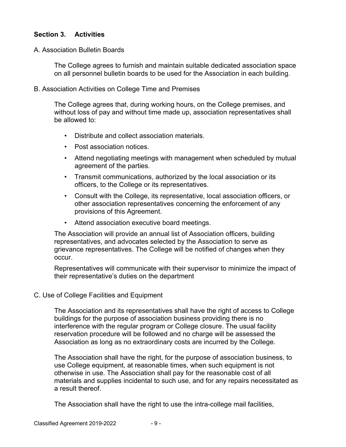#### **Section 3. Activities**

A. Association Bulletin Boards

The College agrees to furnish and maintain suitable dedicated association space on all personnel bulletin boards to be used for the Association in each building.

B. Association Activities on College Time and Premises

The College agrees that, during working hours, on the College premises, and without loss of pay and without time made up, association representatives shall be allowed to:

- Distribute and collect association materials.
- Post association notices.
- Attend negotiating meetings with management when scheduled by mutual agreement of the parties.
- Transmit communications, authorized by the local association or its officers, to the College or its representatives.
- Consult with the College, its representative, local association officers, or other association representatives concerning the enforcement of any provisions of this Agreement.
- Attend association executive board meetings.

The Association will provide an annual list of Association officers, building representatives, and advocates selected by the Association to serve as grievance representatives. The College will be notified of changes when they occur.

Representatives will communicate with their supervisor to minimize the impact of their representative's duties on the department

#### C. Use of College Facilities and Equipment

The Association and its representatives shall have the right of access to College buildings for the purpose of association business providing there is no interference with the regular program or College closure. The usual facility reservation procedure will be followed and no charge will be assessed the Association as long as no extraordinary costs are incurred by the College.

The Association shall have the right, for the purpose of association business, to use College equipment, at reasonable times, when such equipment is not otherwise in use. The Association shall pay for the reasonable cost of all materials and supplies incidental to such use, and for any repairs necessitated as a result thereof.

The Association shall have the right to use the intra-college mail facilities,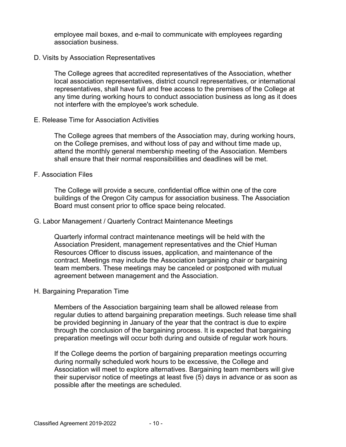employee mail boxes, and e-mail to communicate with employees regarding association business.

#### D. Visits by Association Representatives

The College agrees that accredited representatives of the Association, whether local association representatives, district council representatives, or international representatives, shall have full and free access to the premises of the College at any time during working hours to conduct association business as long as it does not interfere with the employee's work schedule.

#### E. Release Time for Association Activities

The College agrees that members of the Association may, during working hours, on the College premises, and without loss of pay and without time made up, attend the monthly general membership meeting of the Association. Members shall ensure that their normal responsibilities and deadlines will be met.

#### F. Association Files

The College will provide a secure, confidential office within one of the core buildings of the Oregon City campus for association business. The Association Board must consent prior to office space being relocated.

#### G. Labor Management / Quarterly Contract Maintenance Meetings

Quarterly informal contract maintenance meetings will be held with the Association President, management representatives and the Chief Human Resources Officer to discuss issues, application, and maintenance of the contract. Meetings may include the Association bargaining chair or bargaining team members. These meetings may be canceled or postponed with mutual agreement between management and the Association.

#### H. Bargaining Preparation Time

Members of the Association bargaining team shall be allowed release from regular duties to attend bargaining preparation meetings. Such release time shall be provided beginning in January of the year that the contract is due to expire through the conclusion of the bargaining process. It is expected that bargaining preparation meetings will occur both during and outside of regular work hours.

If the College deems the portion of bargaining preparation meetings occurring during normally scheduled work hours to be excessive, the College and Association will meet to explore alternatives. Bargaining team members will give their supervisor notice of meetings at least five (5) days in advance or as soon as possible after the meetings are scheduled.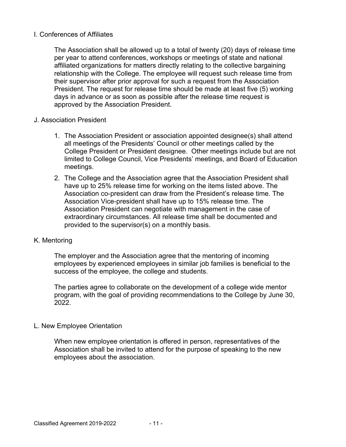#### I. Conferences of Affiliates

The Association shall be allowed up to a total of twenty (20) days of release time per year to attend conferences, workshops or meetings of state and national affiliated organizations for matters directly relating to the collective bargaining relationship with the College. The employee will request such release time from their supervisor after prior approval for such a request from the Association President. The request for release time should be made at least five (5) working days in advance or as soon as possible after the release time request is approved by the Association President.

#### J. Association President

- 1. The Association President or association appointed designee(s) shall attend all meetings of the Presidents' Council or other meetings called by the College President or President designee. Other meetings include but are not limited to College Council, Vice Presidents' meetings, and Board of Education meetings.
- 2. The College and the Association agree that the Association President shall have up to 25% release time for working on the items listed above. The Association co-president can draw from the President's release time. The Association Vice-president shall have up to 15% release time. The Association President can negotiate with management in the case of extraordinary circumstances. All release time shall be documented and provided to the supervisor(s) on a monthly basis.

#### K. Mentoring

The employer and the Association agree that the mentoring of incoming employees by experienced employees in similar job families is beneficial to the success of the employee, the college and students.

The parties agree to collaborate on the development of a college wide mentor program, with the goal of providing recommendations to the College by June 30, 2022.

#### L. New Employee Orientation

When new employee orientation is offered in person, representatives of the Association shall be invited to attend for the purpose of speaking to the new employees about the association.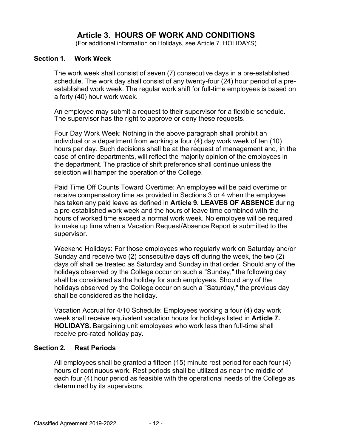## **Article 3. HOURS OF WORK AND CONDITIONS**

(For additional information on Holidays, see Article 7. HOLIDAYS)

#### **Section 1. Work Week**

The work week shall consist of seven (7) consecutive days in a pre-established schedule. The work day shall consist of any twenty-four (24) hour period of a preestablished work week. The regular work shift for full-time employees is based on a forty (40) hour work week.

An employee may submit a request to their supervisor for a flexible schedule. The supervisor has the right to approve or deny these requests.

Four Day Work Week: Nothing in the above paragraph shall prohibit an individual or a department from working a four (4) day work week of ten (10) hours per day. Such decisions shall be at the request of management and, in the case of entire departments, will reflect the majority opinion of the employees in the department. The practice of shift preference shall continue unless the selection will hamper the operation of the College.

Paid Time Off Counts Toward Overtime: An employee will be paid overtime or receive compensatory time as provided in Sections 3 or 4 when the employee has taken any paid leave as defined in **Article 9. LEAVES OF ABSENCE** during a pre-established work week and the hours of leave time combined with the hours of worked time exceed a normal work week. No employee will be required to make up time when a Vacation Request/Absence Report is submitted to the supervisor.

Weekend Holidays: For those employees who regularly work on Saturday and/or Sunday and receive two (2) consecutive days off during the week, the two (2) days off shall be treated as Saturday and Sunday in that order. Should any of the holidays observed by the College occur on such a "Sunday," the following day shall be considered as the holiday for such employees. Should any of the holidays observed by the College occur on such a "Saturday," the previous day shall be considered as the holiday.

Vacation Accrual for 4/10 Schedule: Employees working a four (4) day work week shall receive equivalent vacation hours for holidays listed in **Article 7. HOLIDAYS.** Bargaining unit employees who work less than full-time shall receive pro-rated holiday pay.

#### **Section 2. Rest Periods**

All employees shall be granted a fifteen (15) minute rest period for each four (4) hours of continuous work. Rest periods shall be utilized as near the middle of each four (4) hour period as feasible with the operational needs of the College as determined by its supervisors.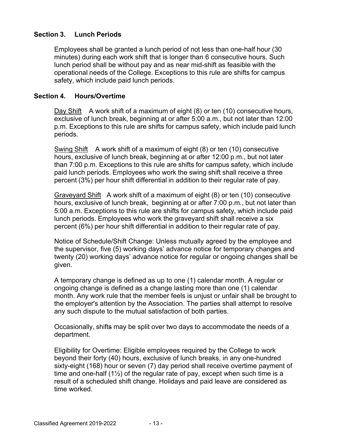#### **Section 3. Lunch Periods**

Employees shall be granted a lunch period of not less than one-half hour (30 minutes) during each work shift that is longer than 6 consecutive hours. Such lunch period shall be without pay and as near mid-shift as feasible with the operational needs of the College. Exceptions to this rule are shifts for campus safety, which include paid lunch periods.

#### **Section 4. Hours/Overtime**

Day Shift A work shift of a maximum of eight (8) or ten (10) consecutive hours, exclusive of lunch break, beginning at or after 5:00 a.m., but not later than 12:00 p.m. Exceptions to this rule are shifts for campus safety, which include paid lunch periods.

Swing Shift A work shift of a maximum of eight (8) or ten (10) consecutive hours, exclusive of lunch break, beginning at or after 12:00 p.m., but not later than 7:00 p.m. Exceptions to this rule are shifts for campus safety, which include paid lunch periods. Employees who work the swing shift shall receive a three percent (3%) per hour shift differential in addition to their regular rate of pay.

Graveyard Shift A work shift of a maximum of eight (8) or ten (10) consecutive hours, exclusive of lunch break, beginning at or after 7:00 p.m., but not later than 5:00 a.m. Exceptions to this rule are shifts for campus safety, which include paid lunch periods. Employees who work the graveyard shift shall receive a six percent (6%) per hour shift differential in addition to their regular rate of pay.

Notice of Schedule/Shift Change: Unless mutually agreed by the employee and the supervisor, five (5) working days' advance notice for temporary changes and twenty (20) working days' advance notice for regular or ongoing changes shall be given.

A temporary change is defined as up to one (1) calendar month. A regular or ongoing change is defined as a change lasting more than one (1) calendar month. Any work rule that the member feels is unjust or unfair shall be brought to the employer's attention by the Association. The parties shall attempt to resolve any such dispute to the mutual satisfaction of both parties.

Occasionally, shifts may be split over two days to accommodate the needs of a department.

Eligibility for Overtime: Eligible employees required by the College to work beyond their forty (40) hours, exclusive of lunch breaks, in any one-hundred sixty-eight (168) hour or seven (7) day period shall receive overtime payment of time and one-half  $(1\frac{1}{2})$  of the regular rate of pay, except when such time is a result of a scheduled shift change. Holidays and paid leave are considered as time worked.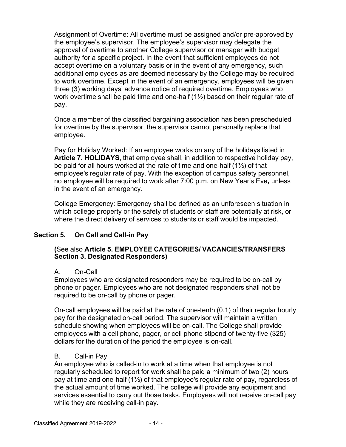Assignment of Overtime: All overtime must be assigned and/or pre-approved by the employee's supervisor. The employee's supervisor may delegate the approval of overtime to another College supervisor or manager with budget authority for a specific project. In the event that sufficient employees do not accept overtime on a voluntary basis or in the event of any emergency, such additional employees as are deemed necessary by the College may be required to work overtime. Except in the event of an emergency, employees will be given three (3) working days' advance notice of required overtime. Employees who work overtime shall be paid time and one-half  $(1\frac{1}{2})$  based on their regular rate of pay.

Once a member of the classified bargaining association has been prescheduled for overtime by the supervisor, the supervisor cannot personally replace that employee.

Pay for Holiday Worked: If an employee works on any of the holidays listed in **Article 7. HOLIDAYS**, that employee shall, in addition to respective holiday pay, be paid for all hours worked at the rate of time and one-half (1½) of that employee's regular rate of pay. With the exception of campus safety personnel, no employee will be required to work after 7:00 p.m. on New Year's Eve**,** unless in the event of an emergency.

College Emergency: Emergency shall be defined as an unforeseen situation in which college property or the safety of students or staff are potentially at risk, or where the direct delivery of services to students or staff would be impacted.

#### **Section 5. On Call and Call-in Pay**

#### **(**See also **Article 5. EMPLOYEE CATEGORIES/ VACANCIES/TRANSFERS Section 3. Designated Responders)**

#### A. On-Call

Employees who are designated responders may be required to be on-call by phone or pager. Employees who are not designated responders shall not be required to be on-call by phone or pager.

On-call employees will be paid at the rate of one-tenth (0.1) of their regular hourly pay for the designated on-call period. The supervisor will maintain a written schedule showing when employees will be on-call. The College shall provide employees with a cell phone, pager, or cell phone stipend of twenty-five (\$25) dollars for the duration of the period the employee is on-call.

#### B. Call-in Pay

An employee who is called-in to work at a time when that employee is not regularly scheduled to report for work shall be paid a minimum of two (2) hours pay at time and one-half (1½) of that employee's regular rate of pay, regardless of the actual amount of time worked. The college will provide any equipment and services essential to carry out those tasks. Employees will not receive on-call pay while they are receiving call-in pay.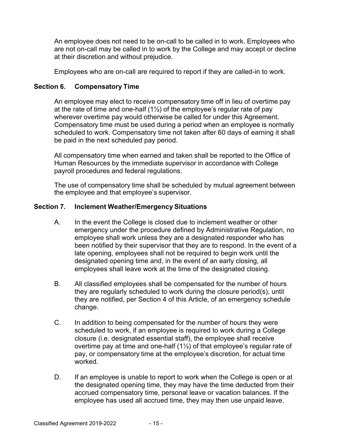An employee does not need to be on-call to be called in to work. Employees who are not on-call may be called in to work by the College and may accept or decline at their discretion and without prejudice.

Employees who are on-call are required to report if they are called-in to work.

#### **Section 6. Compensatory Time**

An employee may elect to receive compensatory time off in lieu of overtime pay at the rate of time and one-half  $(1\frac{1}{2})$  of the employee's regular rate of pay wherever overtime pay would otherwise be called for under this Agreement. Compensatory time must be used during a period when an employee is normally scheduled to work. Compensatory time not taken after 60 days of earning it shall be paid in the next scheduled pay period.

All compensatory time when earned and taken shall be reported to the Office of Human Resources by the immediate supervisor in accordance with College payroll procedures and federal regulations.

The use of compensatory time shall be scheduled by mutual agreement between the employee and that employee's supervisor.

#### **Section 7. Inclement Weather/Emergency Situations**

- A. In the event the College is closed due to inclement weather or other emergency under the procedure defined by Administrative Regulation, no employee shall work unless they are a designated responder who has been notified by their supervisor that they are to respond. In the event of a late opening, employees shall not be required to begin work until the designated opening time and, in the event of an early closing, all employees shall leave work at the time of the designated closing.
- B. All classified employees shall be compensated for the number of hours they are regularly scheduled to work during the closure period(s), until they are notified, per Section 4 of this Article, of an emergency schedule change.
- C. In addition to being compensated for the number of hours they were scheduled to work, if an employee is required to work during a College closure (i.e. designated essential staff), the employee shall receive overtime pay at time and one-half (1½) of that employee's regular rate of pay, or compensatory time at the employee's discretion, for actual time worked.
- D. If an employee is unable to report to work when the College is open or at the designated opening time, they may have the time deducted from their accrued compensatory time, personal leave or vacation balances. If the employee has used all accrued time, they may then use unpaid leave.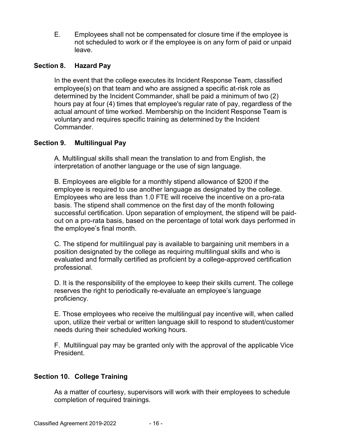E. Employees shall not be compensated for closure time if the employee is not scheduled to work or if the employee is on any form of paid or unpaid leave.

#### **Section 8. Hazard Pay**

In the event that the college executes its Incident Response Team, classified employee(s) on that team and who are assigned a specific at-risk role as determined by the Incident Commander, shall be paid a minimum of two (2) hours pay at four (4) times that employee's regular rate of pay, regardless of the actual amount of time worked. Membership on the Incident Response Team is voluntary and requires specific training as determined by the Incident Commander.

#### **Section 9. Multilingual Pay**

A. Multilingual skills shall mean the translation to and from English, the interpretation of another language or the use of sign language.

B. Employees are eligible for a monthly stipend allowance of \$200 if the employee is required to use another language as designated by the college. Employees who are less than 1.0 FTE will receive the incentive on a pro-rata basis. The stipend shall commence on the first day of the month following successful certification. Upon separation of employment, the stipend will be paidout on a pro-rata basis, based on the percentage of total work days performed in the employee's final month.

C. The stipend for multilingual pay is available to bargaining unit members in a position designated by the college as requiring multilingual skills and who is evaluated and formally certified as proficient by a college-approved certification professional.

D. It is the responsibility of the employee to keep their skills current. The college reserves the right to periodically re-evaluate an employee's language proficiency.

E. Those employees who receive the multilingual pay incentive will, when called upon, utilize their verbal or written language skill to respond to student/customer needs during their scheduled working hours.

F. Multilingual pay may be granted only with the approval of the applicable Vice President.

#### **Section 10. College Training**

As a matter of courtesy, supervisors will work with their employees to schedule completion of required trainings.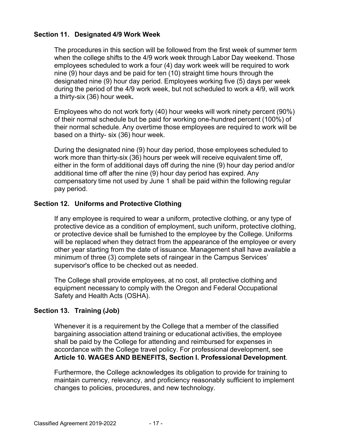#### **Section 11. Designated 4/9 Work Week**

The procedures in this section will be followed from the first week of summer term when the college shifts to the 4/9 work week through Labor Day weekend. Those employees scheduled to work a four (4) day work week will be required to work nine (9) hour days and be paid for ten (10) straight time hours through the designated nine (9) hour day period. Employees working five (5) days per week during the period of the 4/9 work week, but not scheduled to work a 4/9, will work a thirty-six (36) hour week**.**

Employees who do not work forty (40) hour weeks will work ninety percent (90%) of their normal schedule but be paid for working one-hundred percent (100%) of their normal schedule. Any overtime those employees are required to work will be based on a thirty- six (36) hour week.

During the designated nine (9) hour day period, those employees scheduled to work more than thirty-six (36) hours per week will receive equivalent time off, either in the form of additional days off during the nine (9) hour day period and/or additional time off after the nine (9) hour day period has expired. Any compensatory time not used by June 1 shall be paid within the following regular pay period.

#### **Section 12. Uniforms and Protective Clothing**

If any employee is required to wear a uniform, protective clothing, or any type of protective device as a condition of employment, such uniform, protective clothing, or protective device shall be furnished to the employee by the College. Uniforms will be replaced when they detract from the appearance of the employee or every other year starting from the date of issuance. Management shall have available a minimum of three (3) complete sets of raingear in the Campus Services' supervisor's office to be checked out as needed.

The College shall provide employees, at no cost, all protective clothing and equipment necessary to comply with the Oregon and Federal Occupational Safety and Health Acts (OSHA).

#### **Section 13. Training (Job)**

Whenever it is a requirement by the College that a member of the classified bargaining association attend training or educational activities, the employee shall be paid by the College for attending and reimbursed for expenses in accordance with the College travel policy. For professional development, see **Article 10. WAGES AND BENEFITS, Section I. Professional Development**.

Furthermore, the College acknowledges its obligation to provide for training to maintain currency, relevancy, and proficiency reasonably sufficient to implement changes to policies, procedures, and new technology.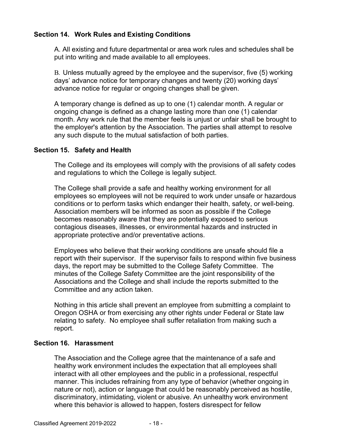#### **Section 14. Work Rules and Existing Conditions**

A. All existing and future departmental or area work rules and schedules shall be put into writing and made available to all employees.

B. Unless mutually agreed by the employee and the supervisor, five (5) working days' advance notice for temporary changes and twenty (20) working days' advance notice for regular or ongoing changes shall be given.

A temporary change is defined as up to one (1) calendar month. A regular or ongoing change is defined as a change lasting more than one (1) calendar month. Any work rule that the member feels is unjust or unfair shall be brought to the employer's attention by the Association. The parties shall attempt to resolve any such dispute to the mutual satisfaction of both parties.

#### **Section 15. Safety and Health**

The College and its employees will comply with the provisions of all safety codes and regulations to which the College is legally subject.

The College shall provide a safe and healthy working environment for all employees so employees will not be required to work under unsafe or hazardous conditions or to perform tasks which endanger their health, safety, or well-being. Association members will be informed as soon as possible if the College becomes reasonably aware that they are potentially exposed to serious contagious diseases, illnesses, or environmental hazards and instructed in appropriate protective and/or preventative actions.

Employees who believe that their working conditions are unsafe should file a report with their supervisor. If the supervisor fails to respond within five business days, the report may be submitted to the College Safety Committee. The minutes of the College Safety Committee are the joint responsibility of the Associations and the College and shall include the reports submitted to the Committee and any action taken.

Nothing in this article shall prevent an employee from submitting a complaint to Oregon OSHA or from exercising any other rights under Federal or State law relating to safety. No employee shall suffer retaliation from making such a report.

#### **Section 16. Harassment**

The Association and the College agree that the maintenance of a safe and healthy work environment includes the expectation that all employees shall interact with all other employees and the public in a professional, respectful manner. This includes refraining from any type of behavior (whether ongoing in nature or not), action or language that could be reasonably perceived as hostile, discriminatory, intimidating, violent or abusive. An unhealthy work environment where this behavior is allowed to happen, fosters disrespect for fellow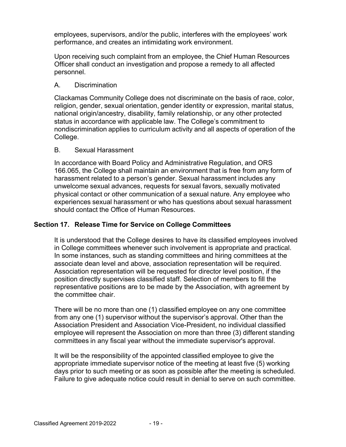employees, supervisors, and/or the public, interferes with the employees' work performance, and creates an intimidating work environment.

Upon receiving such complaint from an employee, the Chief Human Resources Officer shall conduct an investigation and propose a remedy to all affected personnel.

#### A. Discrimination

Clackamas Community College does not discriminate on the basis of race, color, religion, gender, sexual orientation, gender identity or expression, marital status, national origin/ancestry, disability, family relationship, or any other protected status in accordance with applicable law. The College's commitment to nondiscrimination applies to curriculum activity and all aspects of operation of the College.

#### B. Sexual Harassment

In accordance with Board Policy and Administrative Regulation, and ORS 166.065, the College shall maintain an environment that is free from any form of harassment related to a person's gender. Sexual harassment includes any unwelcome sexual advances, requests for sexual favors, sexually motivated physical contact or other communication of a sexual nature. Any employee who experiences sexual harassment or who has questions about sexual harassment should contact the Office of Human Resources.

#### **Section 17. Release Time for Service on College Committees**

It is understood that the College desires to have its classified employees involved in College committees whenever such involvement is appropriate and practical. In some instances, such as standing committees and hiring committees at the associate dean level and above, association representation will be required. Association representation will be requested for director level position, if the position directly supervises classified staff. Selection of members to fill the representative positions are to be made by the Association, with agreement by the committee chair.

There will be no more than one (1) classified employee on any one committee from any one (1) supervisor without the supervisor's approval. Other than the Association President and Association Vice-President, no individual classified employee will represent the Association on more than three (3) different standing committees in any fiscal year without the immediate supervisor's approval.

It will be the responsibility of the appointed classified employee to give the appropriate immediate supervisor notice of the meeting at least five (5) working days prior to such meeting or as soon as possible after the meeting is scheduled. Failure to give adequate notice could result in denial to serve on such committee.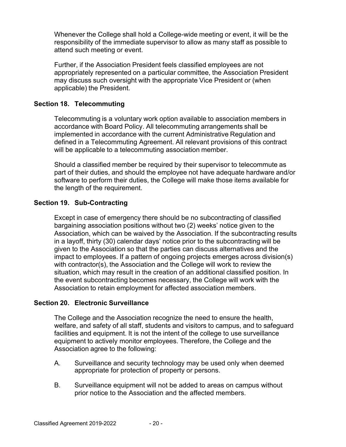Whenever the College shall hold a College-wide meeting or event, it will be the responsibility of the immediate supervisor to allow as many staff as possible to attend such meeting or event.

Further, if the Association President feels classified employees are not appropriately represented on a particular committee, the Association President may discuss such oversight with the appropriate Vice President or (when applicable) the President.

#### **Section 18. Telecommuting**

Telecommuting is a voluntary work option available to association members in accordance with Board Policy. All telecommuting arrangements shall be implemented in accordance with the current Administrative Regulation and defined in a Telecommuting Agreement. All relevant provisions of this contract will be applicable to a telecommuting association member.

Should a classified member be required by their supervisor to telecommute as part of their duties, and should the employee not have adequate hardware and/or software to perform their duties, the College will make those items available for the length of the requirement.

#### **Section 19. Sub-Contracting**

Except in case of emergency there should be no subcontracting of classified bargaining association positions without two (2) weeks' notice given to the Association, which can be waived by the Association. If the subcontracting results in a layoff, thirty (30) calendar days' notice prior to the subcontracting will be given to the Association so that the parties can discuss alternatives and the impact to employees. If a pattern of ongoing projects emerges across division(s) with contractor(s), the Association and the College will work to review the situation, which may result in the creation of an additional classified position. In the event subcontracting becomes necessary, the College will work with the Association to retain employment for affected association members.

#### **Section 20. Electronic Surveillance**

The College and the Association recognize the need to ensure the health, welfare, and safety of all staff, students and visitors to campus, and to safeguard facilities and equipment. It is not the intent of the college to use surveillance equipment to actively monitor employees. Therefore, the College and the Association agree to the following:

- A. Surveillance and security technology may be used only when deemed appropriate for protection of property or persons.
- B. Surveillance equipment will not be added to areas on campus without prior notice to the Association and the affected members.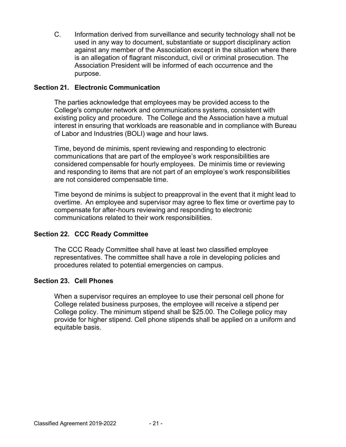C. Information derived from surveillance and security technology shall not be used in any way to document, substantiate or support disciplinary action against any member of the Association except in the situation where there is an allegation of flagrant misconduct, civil or criminal prosecution. The Association President will be informed of each occurrence and the purpose.

#### **Section 21. Electronic Communication**

The parties acknowledge that employees may be provided access to the College's computer network and communications systems, consistent with existing policy and procedure. The College and the Association have a mutual interest in ensuring that workloads are reasonable and in compliance with Bureau of Labor and Industries (BOLI) wage and hour laws.

Time, beyond de minimis, spent reviewing and responding to electronic communications that are part of the employee's work responsibilities are considered compensable for hourly employees. De minimis time or reviewing and responding to items that are not part of an employee's work responsibilities are not considered compensable time.

Time beyond de minims is subject to preapproval in the event that it might lead to overtime. An employee and supervisor may agree to flex time or overtime pay to compensate for after-hours reviewing and responding to electronic communications related to their work responsibilities.

#### **Section 22. CCC Ready Committee**

The CCC Ready Committee shall have at least two classified employee representatives. The committee shall have a role in developing policies and procedures related to potential emergencies on campus.

#### **Section 23. Cell Phones**

When a supervisor requires an employee to use their personal cell phone for College related business purposes, the employee will receive a stipend per College policy. The minimum stipend shall be \$25.00. The College policy may provide for higher stipend. Cell phone stipends shall be applied on a uniform and equitable basis.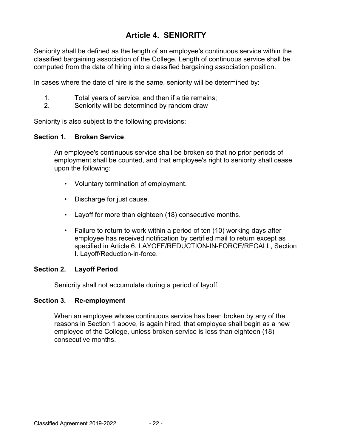## **Article 4. SENIORITY**

Seniority shall be defined as the length of an employee's continuous service within the classified bargaining association of the College. Length of continuous service shall be computed from the date of hiring into a classified bargaining association position.

In cases where the date of hire is the same, seniority will be determined by:

- 1. Total years of service, and then if a tie remains;
- 2. Seniority will be determined by random draw

Seniority is also subject to the following provisions:

#### **Section 1. Broken Service**

An employee's continuous service shall be broken so that no prior periods of employment shall be counted, and that employee's right to seniority shall cease upon the following:

- Voluntary termination of employment.
- Discharge for just cause.
- Layoff for more than eighteen (18) consecutive months.
- Failure to return to work within a period of ten (10) working days after employee has received notification by certified mail to return except as specified in Article 6. LAYOFF/REDUCTION-IN-FORCE/RECALL, Section I. Layoff/Reduction-in-force.

#### **Section 2. Layoff Period**

Seniority shall not accumulate during a period of layoff.

#### **Section 3. Re-employment**

When an employee whose continuous service has been broken by any of the reasons in Section 1 above, is again hired, that employee shall begin as a new employee of the College, unless broken service is less than eighteen (18) consecutive months.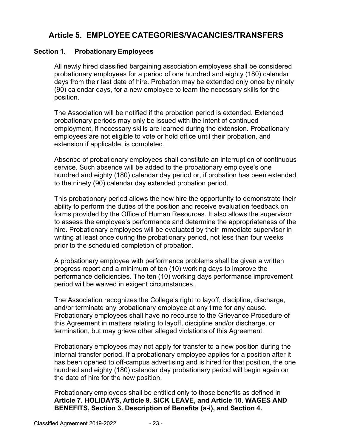## **Article 5. EMPLOYEE CATEGORIES/VACANCIES/TRANSFERS**

#### **Section 1. Probationary Employees**

All newly hired classified bargaining association employees shall be considered probationary employees for a period of one hundred and eighty (180) calendar days from their last date of hire. Probation may be extended only once by ninety (90) calendar days, for a new employee to learn the necessary skills for the position.

The Association will be notified if the probation period is extended. Extended probationary periods may only be issued with the intent of continued employment, if necessary skills are learned during the extension. Probationary employees are not eligible to vote or hold office until their probation, and extension if applicable, is completed.

Absence of probationary employees shall constitute an interruption of continuous service. Such absence will be added to the probationary employee's one hundred and eighty (180) calendar day period or, if probation has been extended, to the ninety (90) calendar day extended probation period.

This probationary period allows the new hire the opportunity to demonstrate their ability to perform the duties of the position and receive evaluation feedback on forms provided by the Office of Human Resources. It also allows the supervisor to assess the employee's performance and determine the appropriateness of the hire. Probationary employees will be evaluated by their immediate supervisor in writing at least once during the probationary period, not less than four weeks prior to the scheduled completion of probation.

A probationary employee with performance problems shall be given a written progress report and a minimum of ten (10) working days to improve the performance deficiencies. The ten (10) working days performance improvement period will be waived in exigent circumstances.

The Association recognizes the College's right to layoff, discipline, discharge, and/or terminate any probationary employee at any time for any cause. Probationary employees shall have no recourse to the Grievance Procedure of this Agreement in matters relating to layoff, discipline and/or discharge, or termination, but may grieve other alleged violations of this Agreement.

Probationary employees may not apply for transfer to a new position during the internal transfer period. If a probationary employee applies for a position after it has been opened to off-campus advertising and is hired for that position, the one hundred and eighty (180) calendar day probationary period will begin again on the date of hire for the new position.

Probationary employees shall be entitled only to those benefits as defined in **Article 7. HOLIDAYS, Article 9. SICK LEAVE, and Article 10. WAGES AND BENEFITS, Section 3. Description of Benefits (a-i), and Section 4.**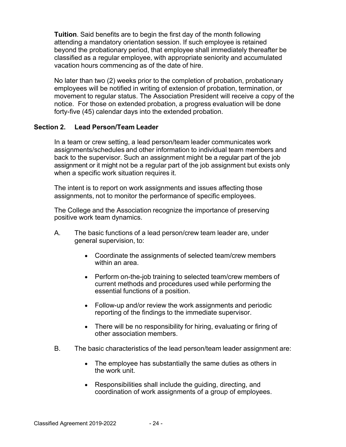**Tuition**. Said benefits are to begin the first day of the month following attending a mandatory orientation session. If such employee is retained beyond the probationary period, that employee shall immediately thereafter be classified as a regular employee, with appropriate seniority and accumulated vacation hours commencing as of the date of hire.

No later than two (2) weeks prior to the completion of probation, probationary employees will be notified in writing of extension of probation, termination, or movement to regular status. The Association President will receive a copy of the notice. For those on extended probation, a progress evaluation will be done forty-five (45) calendar days into the extended probation.

#### **Section 2. Lead Person/Team Leader**

In a team or crew setting, a lead person/team leader communicates work assignments/schedules and other information to individual team members and back to the supervisor. Such an assignment might be a regular part of the job assignment or it might not be a regular part of the job assignment but exists only when a specific work situation requires it.

The intent is to report on work assignments and issues affecting those assignments, not to monitor the performance of specific employees.

The College and the Association recognize the importance of preserving positive work team dynamics.

- A. The basic functions of a lead person/crew team leader are, under general supervision, to:
	- Coordinate the assignments of selected team/crew members within an area.
	- Perform on-the-job training to selected team/crew members of current methods and procedures used while performing the essential functions of a position.
	- Follow-up and/or review the work assignments and periodic reporting of the findings to the immediate supervisor.
	- There will be no responsibility for hiring, evaluating or firing of other association members.
- B. The basic characteristics of the lead person/team leader assignment are:
	- The employee has substantially the same duties as others in the work unit.
	- Responsibilities shall include the guiding, directing, and coordination of work assignments of a group of employees.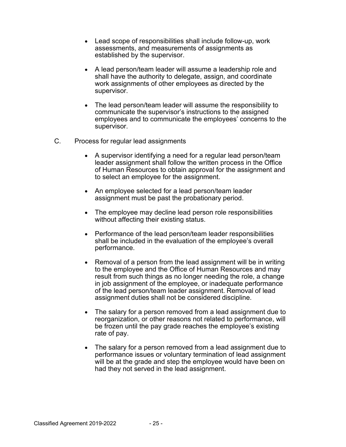- Lead scope of responsibilities shall include follow-up, work assessments, and measurements of assignments as established by the supervisor.
- A lead person/team leader will assume a leadership role and shall have the authority to delegate, assign, and coordinate work assignments of other employees as directed by the supervisor.
- The lead person/team leader will assume the responsibility to communicate the supervisor's instructions to the assigned employees and to communicate the employees' concerns to the supervisor.
- C. Process for regular lead assignments
	- A supervisor identifying a need for a regular lead person/team leader assignment shall follow the written process in the Office of Human Resources to obtain approval for the assignment and to select an employee for the assignment.
	- An employee selected for a lead person/team leader assignment must be past the probationary period.
	- The employee may decline lead person role responsibilities without affecting their existing status.
	- Performance of the lead person/team leader responsibilities shall be included in the evaluation of the employee's overall performance.
	- Removal of a person from the lead assignment will be in writing to the employee and the Office of Human Resources and may result from such things as no longer needing the role, a change in job assignment of the employee, or inadequate performance of the lead person/team leader assignment. Removal of lead assignment duties shall not be considered discipline.
	- The salary for a person removed from a lead assignment due to reorganization, or other reasons not related to performance, will be frozen until the pay grade reaches the employee's existing rate of pay.
	- The salary for a person removed from a lead assignment due to performance issues or voluntary termination of lead assignment will be at the grade and step the employee would have been on had they not served in the lead assignment.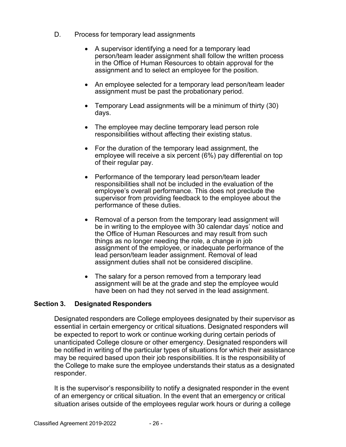- D. Process for temporary lead assignments
	- A supervisor identifying a need for a temporary lead person/team leader assignment shall follow the written process in the Office of Human Resources to obtain approval for the assignment and to select an employee for the position.
	- An employee selected for a temporary lead person/team leader assignment must be past the probationary period.
	- Temporary Lead assignments will be a minimum of thirty (30) days.
	- The employee may decline temporary lead person role responsibilities without affecting their existing status.
	- For the duration of the temporary lead assignment, the employee will receive a six percent (6%) pay differential on top of their regular pay.
	- Performance of the temporary lead person/team leader responsibilities shall not be included in the evaluation of the employee's overall performance. This does not preclude the supervisor from providing feedback to the employee about the performance of these duties.
	- Removal of a person from the temporary lead assignment will be in writing to the employee with 30 calendar days' notice and the Office of Human Resources and may result from such things as no longer needing the role, a change in job assignment of the employee, or inadequate performance of the lead person/team leader assignment. Removal of lead assignment duties shall not be considered discipline.
	- The salary for a person removed from a temporary lead assignment will be at the grade and step the employee would have been on had they not served in the lead assignment.

#### **Section 3. Designated Responders**

Designated responders are College employees designated by their supervisor as essential in certain emergency or critical situations. Designated responders will be expected to report to work or continue working during certain periods of unanticipated College closure or other emergency. Designated responders will be notified in writing of the particular types of situations for which their assistance may be required based upon their job responsibilities. It is the responsibility of the College to make sure the employee understands their status as a designated responder.

It is the supervisor's responsibility to notify a designated responder in the event of an emergency or critical situation. In the event that an emergency or critical situation arises outside of the employees regular work hours or during a college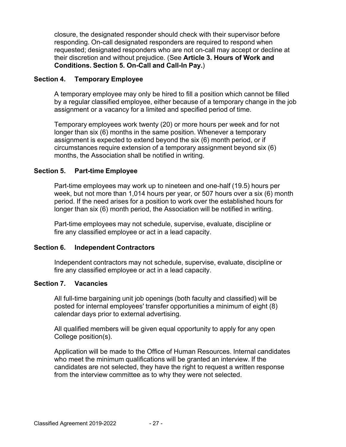closure, the designated responder should check with their supervisor before responding. On-call designated responders are required to respond when requested; designated responders who are not on-call may accept or decline at their discretion and without prejudice. (See **Article 3. Hours of Work and Conditions. Section 5. On-Call and Call-In Pay.**)

#### **Section 4. Temporary Employee**

A temporary employee may only be hired to fill a position which cannot be filled by a regular classified employee, either because of a temporary change in the job assignment or a vacancy for a limited and specified period of time.

Temporary employees work twenty (20) or more hours per week and for not longer than six (6) months in the same position. Whenever a temporary assignment is expected to extend beyond the six (6) month period, or if circumstances require extension of a temporary assignment beyond six (6) months, the Association shall be notified in writing.

#### **Section 5. Part-time Employee**

Part-time employees may work up to nineteen and one-half (19.5) hours per week, but not more than 1,014 hours per year, or 507 hours over a six (6) month period. If the need arises for a position to work over the established hours for longer than six (6) month period, the Association will be notified in writing.

Part-time employees may not schedule, supervise, evaluate, discipline or fire any classified employee or act in a lead capacity.

#### **Section 6. Independent Contractors**

Independent contractors may not schedule, supervise, evaluate, discipline or fire any classified employee or act in a lead capacity.

#### **Section 7. Vacancies**

All full-time bargaining unit job openings (both faculty and classified) will be posted for internal employees' transfer opportunities a minimum of eight (8) calendar days prior to external advertising.

All qualified members will be given equal opportunity to apply for any open College position(s).

Application will be made to the Office of Human Resources. Internal candidates who meet the minimum qualifications will be granted an interview. If the candidates are not selected, they have the right to request a written response from the interview committee as to why they were not selected.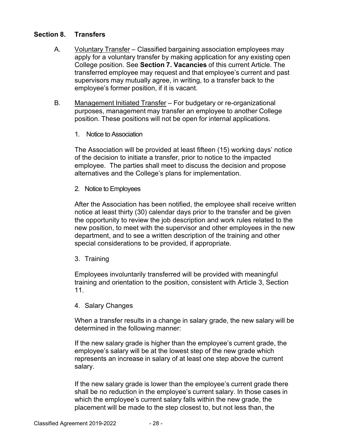#### **Section 8. Transfers**

- A. Voluntary Transfer Classified bargaining association employees may apply for a voluntary transfer by making application for any existing open College position. See **Section 7. Vacancies** of this current Article. The transferred employee may request and that employee's current and past supervisors may mutually agree, in writing, to a transfer back to the employee's former position, if it is vacant.
- B. Management Initiated Transfer For budgetary or re-organizational purposes, management may transfer an employee to another College position. These positions will not be open for internal applications.
	- 1. Notice to Association

The Association will be provided at least fifteen (15) working days' notice of the decision to initiate a transfer, prior to notice to the impacted employee. The parties shall meet to discuss the decision and propose alternatives and the College's plans for implementation.

2. Notice to Employees

After the Association has been notified, the employee shall receive written notice at least thirty (30) calendar days prior to the transfer and be given the opportunity to review the job description and work rules related to the new position, to meet with the supervisor and other employees in the new department, and to see a written description of the training and other special considerations to be provided, if appropriate.

3. Training

Employees involuntarily transferred will be provided with meaningful training and orientation to the position, consistent with Article 3, Section 11.

4. Salary Changes

When a transfer results in a change in salary grade, the new salary will be determined in the following manner:

If the new salary grade is higher than the employee's current grade, the employee's salary will be at the lowest step of the new grade which represents an increase in salary of at least one step above the current salary.

If the new salary grade is lower than the employee's current grade there shall be no reduction in the employee's current salary. In those cases in which the employee's current salary falls within the new grade, the placement will be made to the step closest to, but not less than, the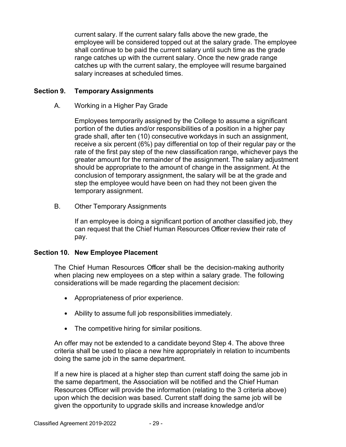current salary. If the current salary falls above the new grade, the employee will be considered topped out at the salary grade. The employee shall continue to be paid the current salary until such time as the grade range catches up with the current salary. Once the new grade range catches up with the current salary, the employee will resume bargained salary increases at scheduled times.

#### **Section 9. Temporary Assignments**

A. Working in a Higher Pay Grade

Employees temporarily assigned by the College to assume a significant portion of the duties and/or responsibilities of a position in a higher pay grade shall, after ten (10) consecutive workdays in such an assignment, receive a six percent (6%) pay differential on top of their regular pay or the rate of the first pay step of the new classification range, whichever pays the greater amount for the remainder of the assignment. The salary adjustment should be appropriate to the amount of change in the assignment. At the conclusion of temporary assignment, the salary will be at the grade and step the employee would have been on had they not been given the temporary assignment.

B. Other Temporary Assignments

If an employee is doing a significant portion of another classified job, they can request that the Chief Human Resources Officer review their rate of pay.

#### **Section 10. New Employee Placement**

The Chief Human Resources Officer shall be the decision-making authority when placing new employees on a step within a salary grade. The following considerations will be made regarding the placement decision:

- Appropriateness of prior experience.
- Ability to assume full job responsibilities immediately.
- The competitive hiring for similar positions.

An offer may not be extended to a candidate beyond Step 4. The above three criteria shall be used to place a new hire appropriately in relation to incumbents doing the same job in the same department.

If a new hire is placed at a higher step than current staff doing the same job in the same department, the Association will be notified and the Chief Human Resources Officer will provide the information (relating to the 3 criteria above) upon which the decision was based. Current staff doing the same job will be given the opportunity to upgrade skills and increase knowledge and/or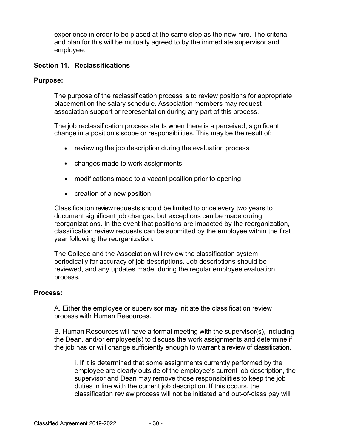experience in order to be placed at the same step as the new hire. The criteria and plan for this will be mutually agreed to by the immediate supervisor and employee.

#### **Section 11. Reclassifications**

#### **Purpose:**

The purpose of the reclassification process is to review positions for appropriate placement on the salary schedule. Association members may request association support or representation during any part of this process.

The job reclassification process starts when there is a perceived, significant change in a position's scope or responsibilities. This may be the result of:

- reviewing the job description during the evaluation process
- changes made to work assignments
- modifications made to a vacant position prior to opening
- creation of a new position

Classification review requests should be limited to once every two years to document significant job changes, but exceptions can be made during reorganizations. In the event that positions are impacted by the reorganization, classification review requests can be submitted by the employee within the first year following the reorganization.

The College and the Association will review the classification system periodically for accuracy of job descriptions. Job descriptions should be reviewed, and any updates made, during the regular employee evaluation process.

#### **Process:**

A. Either the employee or supervisor may initiate the classification review process with Human Resources.

B. Human Resources will have a formal meeting with the supervisor(s), including the Dean, and/or employee(s) to discuss the work assignments and determine if the job has or will change sufficiently enough to warrant a review of classification.

i. If it is determined that some assignments currently performed by the employee are clearly outside of the employee's current job description, the supervisor and Dean may remove those responsibilities to keep the job duties in line with the current job description. If this occurs, the classification review process will not be initiated and out-of-class pay will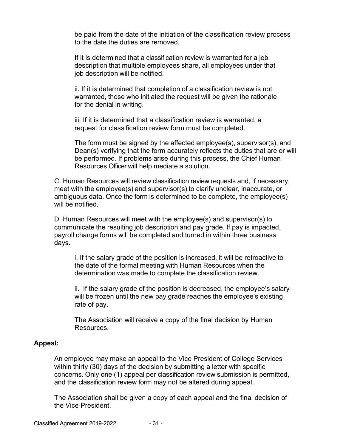be paid from the date of the initiation of the classification review process to the date the duties are removed.

If it is determined that a classification review is warranted for a job description that multiple employees share, all employees under that job description will be notified.

ii. If it is determined that completion of a classification review is not warranted, those who initiated the request will be given the rationale for the denial in writing.

iii. If it is determined that a classification review is warranted, a request for classification review form must be completed.

The form must be signed by the affected employee(s), supervisor(s), and Dean(s) verifying that the form accurately reflects the duties that are or will be performed. If problems arise during this process, the Chief Human Resources Officer will help mediate a solution.

C. Human Resources will review classification review requests and, if necessary, meet with the employee(s) and supervisor(s) to clarify unclear, inaccurate, or ambiguous data. Once the form is determined to be complete, the employee(s) will be notified.

D. Human Resources will meet with the employee(s) and supervisor(s) to communicate the resulting job description and pay grade. If pay is impacted, payroll change forms will be completed and turned in within three business days.

i. If the salary grade of the position is increased, it will be retroactive to the date of the formal meeting with Human Resources when the determination was made to complete the classification review.

ii. If the salary grade of the position is decreased, the employee's salary will be frozen until the new pay grade reaches the employee's existing rate of pay.

The Association will receive a copy of the final decision by Human Resources.

#### **Appeal:**

An employee may make an appeal to the Vice President of College Services within thirty (30) days of the decision by submitting a letter with specific concerns. Only one (1) appeal per classification review submission is permitted, and the classification review form may not be altered during appeal.

The Association shall be given a copy of each appeal and the final decision of the Vice President.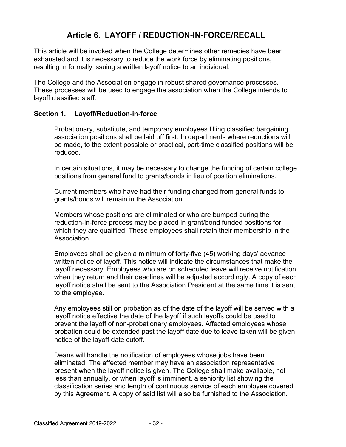## **Article 6. LAYOFF / REDUCTION-IN-FORCE/RECALL**

This article will be invoked when the College determines other remedies have been exhausted and it is necessary to reduce the work force by eliminating positions, resulting in formally issuing a written layoff notice to an individual.

The College and the Association engage in robust shared governance processes. These processes will be used to engage the association when the College intends to layoff classified staff.

#### **Section 1. Layoff/Reduction-in-force**

Probationary, substitute, and temporary employees filling classified bargaining association positions shall be laid off first. In departments where reductions will be made, to the extent possible or practical, part-time classified positions will be reduced.

In certain situations, it may be necessary to change the funding of certain college positions from general fund to grants/bonds in lieu of position eliminations.

Current members who have had their funding changed from general funds to grants/bonds will remain in the Association.

Members whose positions are eliminated or who are bumped during the reduction-in-force process may be placed in grant/bond funded positions for which they are qualified. These employees shall retain their membership in the Association.

Employees shall be given a minimum of forty-five (45) working days' advance written notice of layoff. This notice will indicate the circumstances that make the layoff necessary. Employees who are on scheduled leave will receive notification when they return and their deadlines will be adjusted accordingly. A copy of each layoff notice shall be sent to the Association President at the same time it is sent to the employee.

Any employees still on probation as of the date of the layoff will be served with a layoff notice effective the date of the layoff if such layoffs could be used to prevent the layoff of non-probationary employees. Affected employees whose probation could be extended past the layoff date due to leave taken will be given notice of the layoff date cutoff.

Deans will handle the notification of employees whose jobs have been eliminated. The affected member may have an association representative present when the layoff notice is given. The College shall make available, not less than annually, or when layoff is imminent, a seniority list showing the classification series and length of continuous service of each employee covered by this Agreement. A copy of said list will also be furnished to the Association.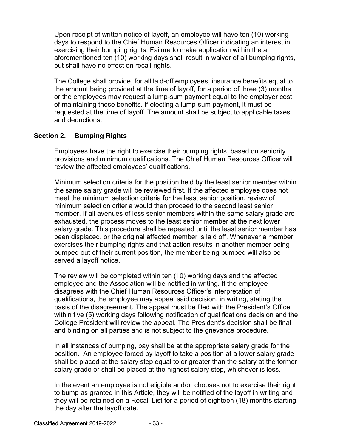Upon receipt of written notice of layoff, an employee will have ten (10) working days to respond to the Chief Human Resources Officer indicating an interest in exercising their bumping rights. Failure to make application within the a aforementioned ten (10) working days shall result in waiver of all bumping rights, but shall have no effect on recall rights.

The College shall provide, for all laid-off employees, insurance benefits equal to the amount being provided at the time of layoff, for a period of three (3) months or the employees may request a lump-sum payment equal to the employer cost of maintaining these benefits. If electing a lump-sum payment, it must be requested at the time of layoff. The amount shall be subject to applicable taxes and deductions.

#### **Section 2. Bumping Rights**

Employees have the right to exercise their bumping rights, based on seniority provisions and minimum qualifications. The Chief Human Resources Officer will review the affected employees' qualifications.

Minimum selection criteria for the position held by the least senior member within the same salary grade will be reviewed first. If the affected employee does not meet the minimum selection criteria for the least senior position, review of minimum selection criteria would then proceed to the second least senior member. If all avenues of less senior members within the same salary grade are exhausted, the process moves to the least senior member at the next lower salary grade. This procedure shall be repeated until the least senior member has been displaced, or the original affected member is laid off. Whenever a member exercises their bumping rights and that action results in another member being bumped out of their current position, the member being bumped will also be served a layoff notice.

The review will be completed within ten (10) working days and the affected employee and the Association will be notified in writing. If the employee disagrees with the Chief Human Resources Officer's interpretation of qualifications, the employee may appeal said decision, in writing, stating the basis of the disagreement. The appeal must be filed with the President's Office within five (5) working days following notification of qualifications decision and the College President will review the appeal. The President's decision shall be final and binding on all parties and is not subject to the grievance procedure.

In all instances of bumping, pay shall be at the appropriate salary grade for the position. An employee forced by layoff to take a position at a lower salary grade shall be placed at the salary step equal to or greater than the salary at the former salary grade or shall be placed at the highest salary step, whichever is less.

In the event an employee is not eligible and/or chooses not to exercise their right to bump as granted in this Article, they will be notified of the layoff in writing and they will be retained on a Recall List for a period of eighteen (18) months starting the day after the layoff date.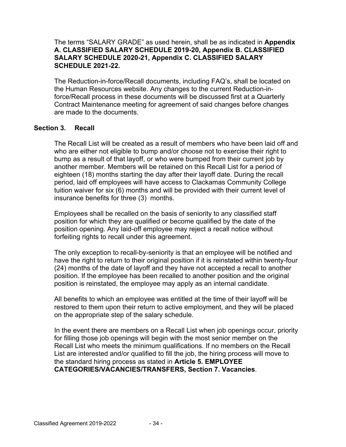#### The terms "SALARY GRADE" as used herein, shall be as indicated in **Appendix A. CLASSIFIED SALARY SCHEDULE 2019-20, Appendix B. CLASSIFIED SALARY SCHEDULE 2020-21, Appendix C. CLASSIFIED SALARY SCHEDULE 2021-22.**

The Reduction-in-force/Recall documents, including FAQ's, shall be located on the Human Resources website. Any changes to the current Reduction-inforce/Recall process in these documents will be discussed first at a Quarterly Contract Maintenance meeting for agreement of said changes before changes are made to the documents.

#### **Section 3. Recall**

The Recall List will be created as a result of members who have been laid off and who are either not eligible to bump and/or choose not to exercise their right to bump as a result of that layoff, or who were bumped from their current job by another member. Members will be retained on this Recall List for a period of eighteen (18) months starting the day after their layoff date. During the recall period, laid off employees will have access to Clackamas Community College tuition waiver for six (6) months and will be provided with their current level of insurance benefits for three (3) months.

Employees shall be recalled on the basis of seniority to any classified staff position for which they are qualified or become qualified by the date of the position opening. Any laid-off employee may reject a recall notice without forfeiting rights to recall under this agreement.

The only exception to recall-by-seniority is that an employee will be notified and have the right to return to their original position if it is reinstated within twenty-four (24) months of the date of layoff and they have not accepted a recall to another position. If the employee has been recalled to another position and the original position is reinstated, the employee may apply as an internal candidate.

All benefits to which an employee was entitled at the time of their layoff will be restored to them upon their return to active employment, and they will be placed on the appropriate step of the salary schedule.

In the event there are members on a Recall List when job openings occur, priority for filling those job openings will begin with the most senior member on the Recall List who meets the minimum qualifications. If no members on the Recall List are interested and/or qualified to fill the job, the hiring process will move to the standard hiring process as stated in **Article 5. EMPLOYEE CATEGORIES/VACANCIES/TRANSFERS, Section 7. Vacancies**.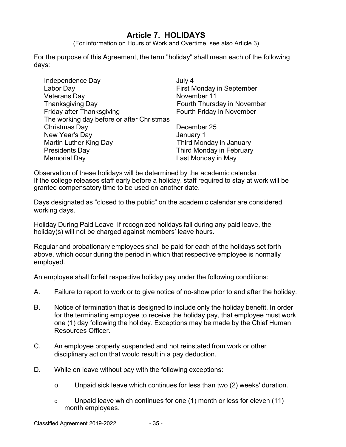## **Article 7. HOLIDAYS**

(For information on Hours of Work and Overtime, see also Article 3)

For the purpose of this Agreement, the term "holiday" shall mean each of the following days:

| Independence Day                          | July 4                      |
|-------------------------------------------|-----------------------------|
| Labor Day                                 | <b>First Monday in Sept</b> |
| <b>Veterans Day</b>                       | November 11                 |
| <b>Thanksgiving Day</b>                   | Fourth Thursday in N        |
| Friday after Thanksgiving                 | Fourth Friday in Nov        |
| The working day before or after Christmas |                             |
| Christmas Day                             | December 25                 |
| New Year's Day                            | January 1                   |
| Martin Luther King Day                    | Third Monday in Jan         |
| <b>Presidents Day</b>                     | Third Monday in Feb         |
| <b>Memorial Day</b>                       | Last Monday in May          |

irst Monday in September lovember 11 ourth Thursday in November ourth Friday in November

ecember 25 anuary 1 hird Monday in January **hird Monday in February** 

Observation of these holidays will be determined by the academic calendar. If the college releases staff early before a holiday, staff required to stay at work will be granted compensatory time to be used on another date.

Days designated as "closed to the public" on the academic calendar are considered working days.

Holiday During Paid Leave If recognized holidays fall during any paid leave, the holiday(s) will not be charged against members' leave hours.

Regular and probationary employees shall be paid for each of the holidays set forth above, which occur during the period in which that respective employee is normally employed.

An employee shall forfeit respective holiday pay under the following conditions:

- A. Failure to report to work or to give notice of no-show prior to and after the holiday.
- B. Notice of termination that is designed to include only the holiday benefit. In order for the terminating employee to receive the holiday pay, that employee must work one (1) day following the holiday. Exceptions may be made by the Chief Human Resources Officer.
- C. An employee properly suspended and not reinstated from work or other disciplinary action that would result in a pay deduction.
- D. While on leave without pay with the following exceptions:
	- o Unpaid sick leave which continues for less than two (2) weeks' duration.
	- $\circ$  Unpaid leave which continues for one (1) month or less for eleven (11) month employees.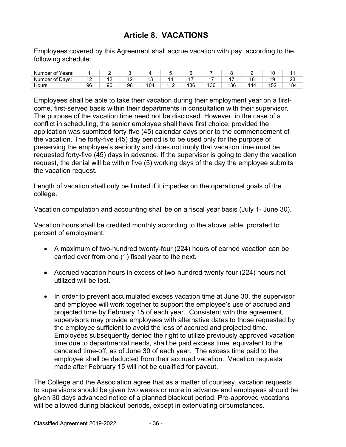## **Article 8. VACATIONS**

Employees covered by this Agreement shall accrue vacation with pay, according to the following schedule:

| Number<br>Years:<br>∵of |     | -   |                       |                          |                                            |     |    |     |    |              |           |
|-------------------------|-----|-----|-----------------------|--------------------------|--------------------------------------------|-----|----|-----|----|--------------|-----------|
| Number of Days:         | . . | . . | $\overline{ }$<br>. . | $\overline{\phantom{a}}$ |                                            |     |    |     | ١٤ | 10<br>ن،     | n r<br>20 |
| Hours.                  | 96  | 96  | 96                    | 04                       | $\overline{A}$<br>$\overline{\phantom{a}}$ | 136 | 36 | 136 | 44 | م کا ا<br>ےں | 184       |

Employees shall be able to take their vacation during their employment year on a firstcome, first-served basis within their departments in consultation with their supervisor. The purpose of the vacation time need not be disclosed. However, in the case of a conflict in scheduling, the senior employee shall have first choice, provided the application was submitted forty-five (45) calendar days prior to the commencement of the vacation. The forty-five (45) day period is to be used only for the purpose of preserving the employee's seniority and does not imply that vacation time must be requested forty-five (45) days in advance. If the supervisor is going to deny the vacation request, the denial will be within five (5) working days of the day the employee submits the vacation request.

Length of vacation shall only be limited if it impedes on the operational goals of the college.

Vacation computation and accounting shall be on a fiscal year basis (July 1- June 30).

Vacation hours shall be credited monthly according to the above table, prorated to percent of employment.

- A maximum of two-hundred twenty-four (224) hours of earned vacation can be carried over from one (1) fiscal year to the next.
- Accrued vacation hours in excess of two-hundred twenty-four (224) hours not utilized will be lost.
- $\bullet$  In order to prevent accumulated excess vacation time at June 30, the supervisor and employee will work together to support the employee's use of accrued and projected time by February 15 of each year. Consistent with this agreement, supervisors may provide employees with alternative dates to those requested by the employee sufficient to avoid the loss of accrued and projected time. Employees subsequently denied the right to utilize previously approved vacation time due to departmental needs, shall be paid excess time, equivalent to the canceled time-off, as of June 30 of each year. The excess time paid to the employee shall be deducted from their accrued vacation. Vacation requests made after February 15 will not be qualified for payout.

The College and the Association agree that as a matter of courtesy, vacation requests to supervisors should be given two weeks or more in advance and employees should be given 30 days advanced notice of a planned blackout period. Pre-approved vacations will be allowed during blackout periods, except in extenuating circumstances.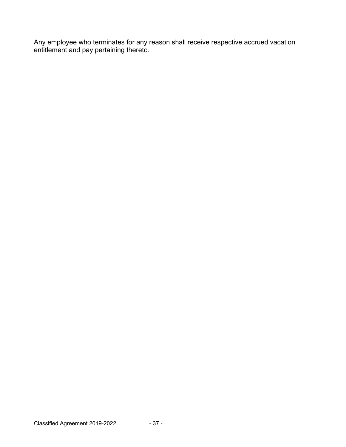Any employee who terminates for any reason shall receive respective accrued vacation entitlement and pay pertaining thereto.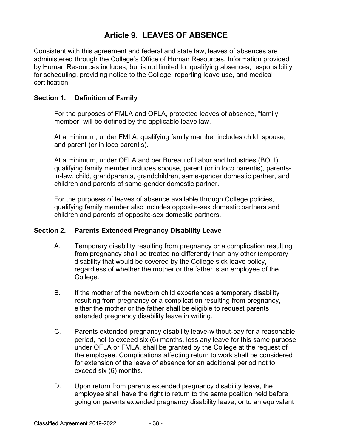## **Article 9. LEAVES OF ABSENCE**

Consistent with this agreement and federal and state law, leaves of absences are administered through the College's Office of Human Resources. Information provided by Human Resources includes, but is not limited to: qualifying absences, responsibility for scheduling, providing notice to the College, reporting leave use, and medical certification.

### **Section 1. Definition of Family**

For the purposes of FMLA and OFLA, protected leaves of absence, "family member" will be defined by the applicable leave law.

At a minimum, under FMLA, qualifying family member includes child, spouse, and parent (or in loco parentis).

At a minimum, under OFLA and per Bureau of Labor and Industries (BOLI), qualifying family member includes spouse, parent (or in loco parentis), parentsin-law, child, grandparents, grandchildren, same-gender domestic partner, and children and parents of same-gender domestic partner.

For the purposes of leaves of absence available through College policies, qualifying family member also includes opposite-sex domestic partners and children and parents of opposite-sex domestic partners.

#### **Section 2. Parents Extended Pregnancy Disability Leave**

- A. Temporary disability resulting from pregnancy or a complication resulting from pregnancy shall be treated no differently than any other temporary disability that would be covered by the College sick leave policy, regardless of whether the mother or the father is an employee of the College.
- B. If the mother of the newborn child experiences a temporary disability resulting from pregnancy or a complication resulting from pregnancy, either the mother or the father shall be eligible to request parents extended pregnancy disability leave in writing.
- C. Parents extended pregnancy disability leave-without-pay for a reasonable period, not to exceed six (6) months, less any leave for this same purpose under OFLA or FMLA, shall be granted by the College at the request of the employee. Complications affecting return to work shall be considered for extension of the leave of absence for an additional period not to exceed six (6) months.
- D. Upon return from parents extended pregnancy disability leave, the employee shall have the right to return to the same position held before going on parents extended pregnancy disability leave, or to an equivalent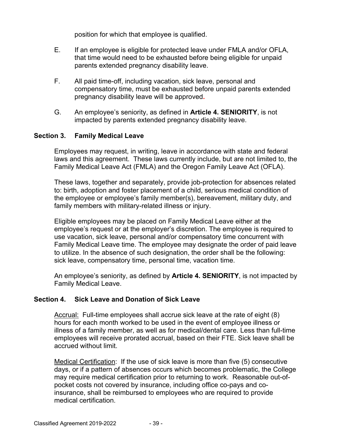position for which that employee is qualified.

- E. If an employee is eligible for protected leave under FMLA and/or OFLA, that time would need to be exhausted before being eligible for unpaid parents extended pregnancy disability leave.
- F. All paid time-off, including vacation, sick leave, personal and compensatory time, must be exhausted before unpaid parents extended pregnancy disability leave will be approved**.**
- G. An employee's seniority, as defined in **Article 4. SENIORITY**, is not impacted by parents extended pregnancy disability leave.

#### **Section 3. Family Medical Leave**

Employees may request, in writing, leave in accordance with state and federal laws and this agreement. These laws currently include, but are not limited to, the Family Medical Leave Act (FMLA) and the Oregon Family Leave Act (OFLA).

These laws, together and separately, provide job-protection for absences related to: birth, adoption and foster placement of a child, serious medical condition of the employee or employee's family member(s), bereavement, military duty, and family members with military-related illness or injury.

Eligible employees may be placed on Family Medical Leave either at the employee's request or at the employer's discretion. The employee is required to use vacation, sick leave, personal and/or compensatory time concurrent with Family Medical Leave time. The employee may designate the order of paid leave to utilize. In the absence of such designation, the order shall be the following: sick leave, compensatory time, personal time, vacation time.

An employee's seniority, as defined by **Article 4. SENIORITY**, is not impacted by Family Medical Leave.

#### **Section 4. Sick Leave and Donation of Sick Leave**

Accrual: Full-time employees shall accrue sick leave at the rate of eight (8) hours for each month worked to be used in the event of employee illness or illness of a family member, as well as for medical/dental care. Less than full-time employees will receive prorated accrual, based on their FTE. Sick leave shall be accrued without limit.

Medical Certification: If the use of sick leave is more than five (5) consecutive days, or if a pattern of absences occurs which becomes problematic, the College may require medical certification prior to returning to work. Reasonable out-ofpocket costs not covered by insurance, including office co-pays and coinsurance, shall be reimbursed to employees who are required to provide medical certification.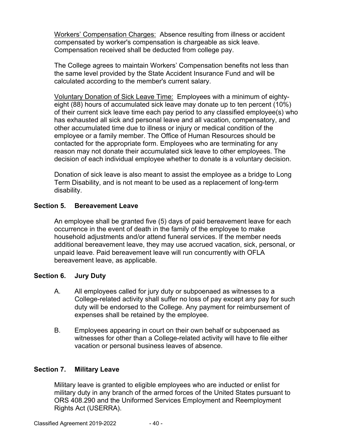Workers' Compensation Charges: Absence resulting from illness or accident compensated by worker's compensation is chargeable as sick leave. Compensation received shall be deducted from college pay.

The College agrees to maintain Workers' Compensation benefits not less than the same level provided by the State Accident Insurance Fund and will be calculated according to the member's current salary.

Voluntary Donation of Sick Leave Time: Employees with a minimum of eightyeight (88) hours of accumulated sick leave may donate up to ten percent (10%) of their current sick leave time each pay period to any classified employee(s) who has exhausted all sick and personal leave and all vacation, compensatory, and other accumulated time due to illness or injury or medical condition of the employee or a family member. The Office of Human Resources should be contacted for the appropriate form. Employees who are terminating for any reason may not donate their accumulated sick leave to other employees. The decision of each individual employee whether to donate is a voluntary decision.

Donation of sick leave is also meant to assist the employee as a bridge to Long Term Disability, and is not meant to be used as a replacement of long-term disability.

## **Section 5. Bereavement Leave**

An employee shall be granted five (5) days of paid bereavement leave for each occurrence in the event of death in the family of the employee to make household adjustments and/or attend funeral services. If the member needs additional bereavement leave, they may use accrued vacation, sick, personal, or unpaid leave. Paid bereavement leave will run concurrently with OFLA bereavement leave, as applicable.

## **Section 6. Jury Duty**

- A. All employees called for jury duty or subpoenaed as witnesses to a College-related activity shall suffer no loss of pay except any pay for such duty will be endorsed to the College. Any payment for reimbursement of expenses shall be retained by the employee.
- B. Employees appearing in court on their own behalf or subpoenaed as witnesses for other than a College-related activity will have to file either vacation or personal business leaves of absence.

## **Section 7. Military Leave**

Military leave is granted to eligible employees who are inducted or enlist for military duty in any branch of the armed forces of the United States pursuant to ORS 408.290 and the Uniformed Services Employment and Reemployment Rights Act (USERRA).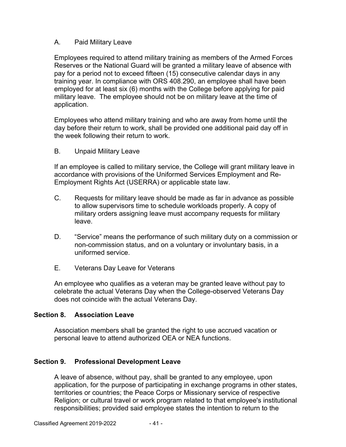### A. Paid Military Leave

Employees required to attend military training as members of the Armed Forces Reserves or the National Guard will be granted a military leave of absence with pay for a period not to exceed fifteen (15) consecutive calendar days in any training year. In compliance with ORS 408.290, an employee shall have been employed for at least six (6) months with the College before applying for paid military leave. The employee should not be on military leave at the time of application.

Employees who attend military training and who are away from home until the day before their return to work, shall be provided one additional paid day off in the week following their return to work.

B. Unpaid Military Leave

If an employee is called to military service, the College will grant military leave in accordance with provisions of the Uniformed Services Employment and Re-Employment Rights Act (USERRA) or applicable state law.

- C. Requests for military leave should be made as far in advance as possible to allow supervisors time to schedule workloads properly. A copy of military orders assigning leave must accompany requests for military leave.
- D. "Service" means the performance of such military duty on a commission or non-commission status, and on a voluntary or involuntary basis, in a uniformed service.
- E. Veterans Day Leave for Veterans

An employee who qualifies as a veteran may be granted leave without pay to celebrate the actual Veterans Day when the College-observed Veterans Day does not coincide with the actual Veterans Day.

#### **Section 8. Association Leave**

Association members shall be granted the right to use accrued vacation or personal leave to attend authorized OEA or NEA functions.

## **Section 9. Professional Development Leave**

A leave of absence, without pay, shall be granted to any employee, upon application, for the purpose of participating in exchange programs in other states, territories or countries; the Peace Corps or Missionary service of respective Religion; or cultural travel or work program related to that employee's institutional responsibilities; provided said employee states the intention to return to the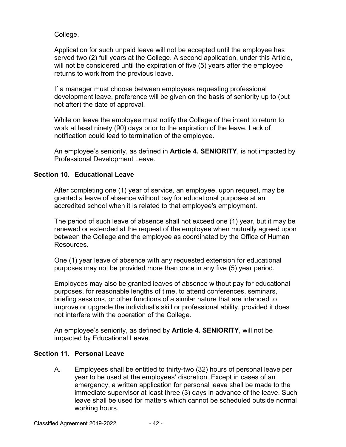College.

Application for such unpaid leave will not be accepted until the employee has served two (2) full years at the College. A second application, under this Article, will not be considered until the expiration of five (5) years after the employee returns to work from the previous leave.

If a manager must choose between employees requesting professional development leave, preference will be given on the basis of seniority up to (but not after) the date of approval.

While on leave the employee must notify the College of the intent to return to work at least ninety (90) days prior to the expiration of the leave. Lack of notification could lead to termination of the employee.

An employee's seniority, as defined in **Article 4. SENIORITY**, is not impacted by Professional Development Leave.

## **Section 10. Educational Leave**

After completing one (1) year of service, an employee, upon request, may be granted a leave of absence without pay for educational purposes at an accredited school when it is related to that employee's employment.

The period of such leave of absence shall not exceed one (1) year, but it may be renewed or extended at the request of the employee when mutually agreed upon between the College and the employee as coordinated by the Office of Human Resources.

One (1) year leave of absence with any requested extension for educational purposes may not be provided more than once in any five (5) year period.

Employees may also be granted leaves of absence without pay for educational purposes, for reasonable lengths of time, to attend conferences, seminars, briefing sessions, or other functions of a similar nature that are intended to improve or upgrade the individual's skill or professional ability, provided it does not interfere with the operation of the College.

An employee's seniority, as defined by **Article 4. SENIORITY**, will not be impacted by Educational Leave.

## **Section 11. Personal Leave**

A. Employees shall be entitled to thirty-two (32) hours of personal leave per year to be used at the employees' discretion. Except in cases of an emergency, a written application for personal leave shall be made to the immediate supervisor at least three (3) days in advance of the leave. Such leave shall be used for matters which cannot be scheduled outside normal working hours.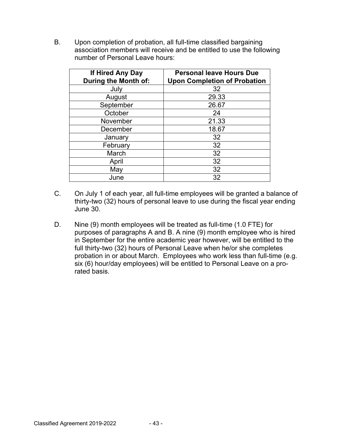B. Upon completion of probation, all full-time classified bargaining association members will receive and be entitled to use the following number of Personal Leave hours:

| If Hired Any Day<br><b>During the Month of:</b> | <b>Personal leave Hours Due</b><br><b>Upon Completion of Probation</b> |  |  |  |  |  |  |  |
|-------------------------------------------------|------------------------------------------------------------------------|--|--|--|--|--|--|--|
| July                                            | 32                                                                     |  |  |  |  |  |  |  |
| August                                          | 29.33                                                                  |  |  |  |  |  |  |  |
| September                                       | 26.67                                                                  |  |  |  |  |  |  |  |
| October                                         | 24                                                                     |  |  |  |  |  |  |  |
| November                                        | 21.33                                                                  |  |  |  |  |  |  |  |
| December                                        | 18.67                                                                  |  |  |  |  |  |  |  |
| January                                         | 32                                                                     |  |  |  |  |  |  |  |
| February                                        | 32                                                                     |  |  |  |  |  |  |  |
| March                                           | 32                                                                     |  |  |  |  |  |  |  |
| April                                           | 32                                                                     |  |  |  |  |  |  |  |
| May                                             | 32                                                                     |  |  |  |  |  |  |  |
| June                                            | 32                                                                     |  |  |  |  |  |  |  |

- C. On July 1 of each year, all full-time employees will be granted a balance of thirty-two (32) hours of personal leave to use during the fiscal year ending June 30.
- D. Nine (9) month employees will be treated as full-time (1.0 FTE) for purposes of paragraphs A and B. A nine (9) month employee who is hired in September for the entire academic year however, will be entitled to the full thirty-two (32) hours of Personal Leave when he/or she completes probation in or about March. Employees who work less than full-time (e.g. six (6) hour/day employees) will be entitled to Personal Leave on a prorated basis.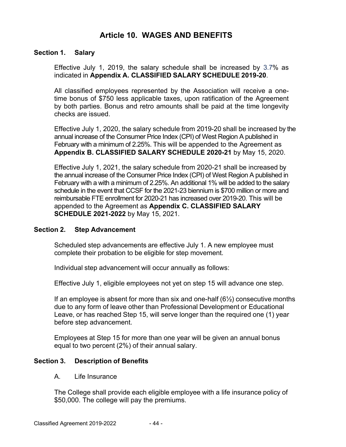## **Article 10. WAGES AND BENEFITS**

### **Section 1. Salary**

Effective July 1, 2019, the salary schedule shall be increased by 3.7% as indicated in **Appendix A. CLASSIFIED SALARY SCHEDULE 2019-20**.

All classified employees represented by the Association will receive a onetime bonus of \$750 less applicable taxes, upon ratification of the Agreement by both parties. Bonus and retro amounts shall be paid at the time longevity checks are issued.

Effective July 1, 2020, the salary schedule from 2019-20 shall be increased by the annual increase of the Consumer Price Index (CPI) of West Region A published in February with a minimum of 2.25%. This will be appended to the Agreement as **Appendix B. CLASSIFIED SALARY SCHEDULE 2020-21** by May 15, 2020.

Effective July 1, 2021, the salary schedule from 2020-21 shall be increased by the annual increase of the Consumer Price Index (CPI) of West Region A published in February with a with a minimum of 2.25%. An additional 1% will be added to the salary schedule in the event that CCSF for the 2021-23 biennium is \$700 million or more and reimbursable FTE enrollment for 2020-21 has increased over 2019-20. This will be appended to the Agreement as **Appendix C. CLASSIFIED SALARY SCHEDULE 2021-2022** by May 15, 2021.

#### **Section 2. Step Advancement**

Scheduled step advancements are effective July 1. A new employee must complete their probation to be eligible for step movement.

Individual step advancement will occur annually as follows:

Effective July 1, eligible employees not yet on step 15 will advance one step.

If an employee is absent for more than six and one-half  $(6\frac{1}{2})$  consecutive months due to any form of leave other than Professional Development or Educational Leave, or has reached Step 15, will serve longer than the required one (1) year before step advancement.

Employees at Step 15 for more than one year will be given an annual bonus equal to two percent (2%) of their annual salary.

#### **Section 3. Description of Benefits**

A. Life Insurance

The College shall provide each eligible employee with a life insurance policy of \$50,000. The college will pay the premiums.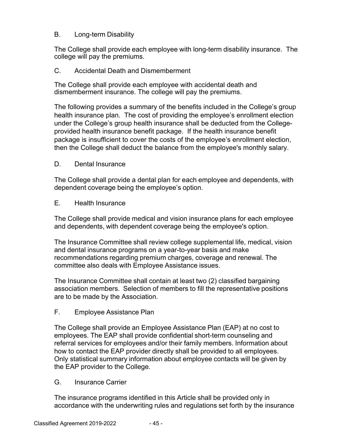### B. Long-term Disability

The College shall provide each employee with long-term disability insurance. The college will pay the premiums.

### C. Accidental Death and Dismemberment

The College shall provide each employee with accidental death and dismemberment insurance. The college will pay the premiums.

The following provides a summary of the benefits included in the College's group health insurance plan. The cost of providing the employee's enrollment election under the College's group health insurance shall be deducted from the Collegeprovided health insurance benefit package. If the health insurance benefit package is insufficient to cover the costs of the employee's enrollment election, then the College shall deduct the balance from the employee's monthly salary.

#### D. Dental Insurance

The College shall provide a dental plan for each employee and dependents, with dependent coverage being the employee's option.

#### E. Health Insurance

The College shall provide medical and vision insurance plans for each employee and dependents, with dependent coverage being the employee's option.

The Insurance Committee shall review college supplemental life, medical, vision and dental insurance programs on a year-to-year basis and make recommendations regarding premium charges, coverage and renewal. The committee also deals with Employee Assistance issues.

The Insurance Committee shall contain at least two (2) classified bargaining association members. Selection of members to fill the representative positions are to be made by the Association.

#### F. Employee Assistance Plan

The College shall provide an Employee Assistance Plan (EAP) at no cost to employees. The EAP shall provide confidential short-term counseling and referral services for employees and/or their family members. Information about how to contact the EAP provider directly shall be provided to all employees. Only statistical summary information about employee contacts will be given by the EAP provider to the College.

#### G. Insurance Carrier

The insurance programs identified in this Article shall be provided only in accordance with the underwriting rules and regulations set forth by the insurance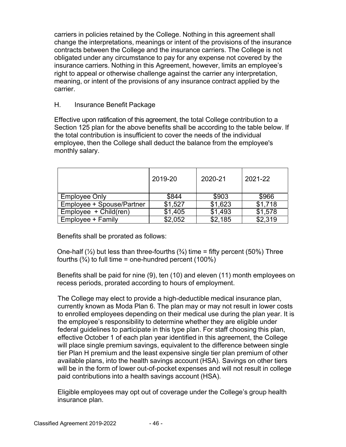carriers in policies retained by the College. Nothing in this agreement shall change the interpretations, meanings or intent of the provisions of the insurance contracts between the College and the insurance carriers. The College is not obligated under any circumstance to pay for any expense not covered by the insurance carriers. Nothing in this Agreement, however, limits an employee's right to appeal or otherwise challenge against the carrier any interpretation, meaning, or intent of the provisions of any insurance contract applied by the carrier.

### H. Insurance Benefit Package

Effective upon ratification of this agreement, the total College contribution to a Section 125 plan for the above benefits shall be according to the table below. If the total contribution is insufficient to cover the needs of the individual employee, then the College shall deduct the balance from the employee's monthly salary.

|                           | 2019-20 | 2020-21 | 2021-22 |
|---------------------------|---------|---------|---------|
| <b>Employee Only</b>      | \$844   | \$903   | \$966   |
| Employee + Spouse/Partner | \$1,527 | \$1,623 | \$1,718 |
| $Emplovee + Child(ren)$   | \$1,405 | \$1,493 | \$1,578 |
| Employee + Family         | \$2,052 | \$2,185 | \$2,319 |

Benefits shall be prorated as follows:

One-half ( $\frac{1}{2}$ ) but less than three-fourths ( $\frac{3}{4}$ ) time = fifty percent (50%) Three fourths  $(3/4)$  to full time = one-hundred percent (100%)

Benefits shall be paid for nine (9), ten (10) and eleven (11) month employees on recess periods, prorated according to hours of employment.

The College may elect to provide a high-deductible medical insurance plan, currently known as Moda Plan 6. The plan may or may not result in lower costs to enrolled employees depending on their medical use during the plan year. It is the employee's responsibility to determine whether they are eligible under federal guidelines to participate in this type plan. For staff choosing this plan, effective October 1 of each plan year identified in this agreement, the College will place single premium savings, equivalent to the difference between single tier Plan H premium and the least expensive single tier plan premium of other available plans, into the health savings account (HSA). Savings on other tiers will be in the form of lower out-of-pocket expenses and will not result in college paid contributions into a health savings account (HSA).

Eligible employees may opt out of coverage under the College's group health insurance plan.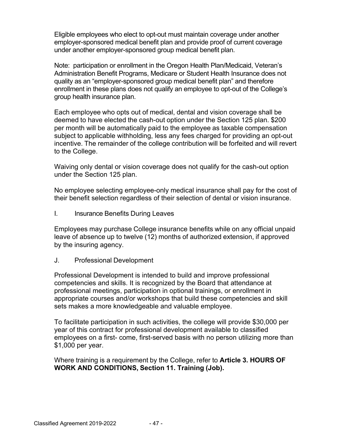Eligible employees who elect to opt-out must maintain coverage under another employer-sponsored medical benefit plan and provide proof of current coverage under another employer-sponsored group medical benefit plan.

Note: participation or enrollment in the Oregon Health Plan/Medicaid, Veteran's Administration Benefit Programs, Medicare or Student Health Insurance does not quality as an "employer-sponsored group medical benefit plan" and therefore enrollment in these plans does not qualify an employee to opt-out of the College's group health insurance plan.

Each employee who opts out of medical, dental and vision coverage shall be deemed to have elected the cash-out option under the Section 125 plan. \$200 per month will be automatically paid to the employee as taxable compensation subject to applicable withholding, less any fees charged for providing an opt-out incentive. The remainder of the college contribution will be forfeited and will revert to the College.

Waiving only dental or vision coverage does not qualify for the cash-out option under the Section 125 plan.

No employee selecting employee-only medical insurance shall pay for the cost of their benefit selection regardless of their selection of dental or vision insurance.

I. Insurance Benefits During Leaves

Employees may purchase College insurance benefits while on any official unpaid leave of absence up to twelve (12) months of authorized extension, if approved by the insuring agency.

J. Professional Development

Professional Development is intended to build and improve professional competencies and skills. It is recognized by the Board that attendance at professional meetings, participation in optional trainings, or enrollment in appropriate courses and/or workshops that build these competencies and skill sets makes a more knowledgeable and valuable employee.

To facilitate participation in such activities, the college will provide \$30,000 per year of this contract for professional development available to classified employees on a first- come, first-served basis with no person utilizing more than \$1,000 per year.

Where training is a requirement by the College, refer to **Article 3. HOURS OF WORK AND CONDITIONS, Section 11. Training (Job).**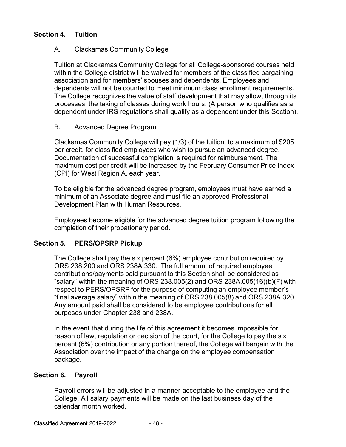### **Section 4. Tuition**

### A. Clackamas Community College

Tuition at Clackamas Community College for all College-sponsored courses held within the College district will be waived for members of the classified bargaining association and for members' spouses and dependents. Employees and dependents will not be counted to meet minimum class enrollment requirements. The College recognizes the value of staff development that may allow, through its processes, the taking of classes during work hours. (A person who qualifies as a dependent under IRS regulations shall qualify as a dependent under this Section).

### B. Advanced Degree Program

Clackamas Community College will pay (1/3) of the tuition, to a maximum of \$205 per credit, for classified employees who wish to pursue an advanced degree. Documentation of successful completion is required for reimbursement. The maximum cost per credit will be increased by the February Consumer Price Index (CPI) for West Region A, each year.

To be eligible for the advanced degree program, employees must have earned a minimum of an Associate degree and must file an approved Professional Development Plan with Human Resources.

Employees become eligible for the advanced degree tuition program following the completion of their probationary period.

## **Section 5. PERS/OPSRP Pickup**

The College shall pay the six percent (6%) employee contribution required by ORS 238.200 and ORS 238A.330. The full amount of required employee contributions/payments paid pursuant to this Section shall be considered as "salary" within the meaning of ORS 238.005(2) and ORS 238A.005(16)(b)(F) with respect to PERS/OPSRP for the purpose of computing an employee member's "final average salary" within the meaning of ORS 238.005(8) and ORS 238A.320. Any amount paid shall be considered to be employee contributions for all purposes under Chapter 238 and 238A.

In the event that during the life of this agreement it becomes impossible for reason of law, regulation or decision of the court, for the College to pay the six percent (6%) contribution or any portion thereof, the College will bargain with the Association over the impact of the change on the employee compensation package.

#### **Section 6. Payroll**

Payroll errors will be adjusted in a manner acceptable to the employee and the College. All salary payments will be made on the last business day of the calendar month worked.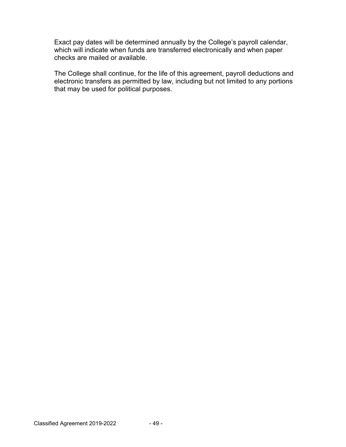Exact pay dates will be determined annually by the College's payroll calendar, which will indicate when funds are transferred electronically and when paper checks are mailed or available.

The College shall continue, for the life of this agreement, payroll deductions and electronic transfers as permitted by law, including but not limited to any portions that may be used for political purposes.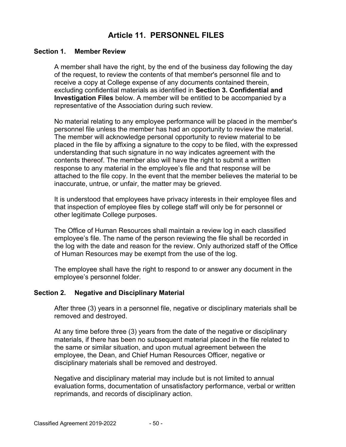## **Article 11. PERSONNEL FILES**

#### **Section 1. Member Review**

A member shall have the right, by the end of the business day following the day of the request, to review the contents of that member's personnel file and to receive a copy at College expense of any documents contained therein, excluding confidential materials as identified in **Section 3. Confidential and Investigation Files** below. A member will be entitled to be accompanied by a representative of the Association during such review.

No material relating to any employee performance will be placed in the member's personnel file unless the member has had an opportunity to review the material. The member will acknowledge personal opportunity to review material to be placed in the file by affixing a signature to the copy to be filed, with the expressed understanding that such signature in no way indicates agreement with the contents thereof. The member also will have the right to submit a written response to any material in the employee's file and that response will be attached to the file copy. In the event that the member believes the material to be inaccurate, untrue, or unfair, the matter may be grieved.

It is understood that employees have privacy interests in their employee files and that inspection of employee files by college staff will only be for personnel or other legitimate College purposes.

The Office of Human Resources shall maintain a review log in each classified employee's file. The name of the person reviewing the file shall be recorded in the log with the date and reason for the review. Only authorized staff of the Office of Human Resources may be exempt from the use of the log.

The employee shall have the right to respond to or answer any document in the employee's personnel folder.

#### **Section 2. Negative and Disciplinary Material**

After three (3) years in a personnel file, negative or disciplinary materials shall be removed and destroyed.

At any time before three (3) years from the date of the negative or disciplinary materials, if there has been no subsequent material placed in the file related to the same or similar situation, and upon mutual agreement between the employee, the Dean, and Chief Human Resources Officer, negative or disciplinary materials shall be removed and destroyed.

Negative and disciplinary material may include but is not limited to annual evaluation forms, documentation of unsatisfactory performance, verbal or written reprimands, and records of disciplinary action.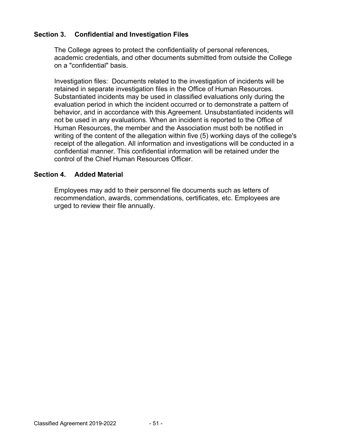### **Section 3. Confidential and Investigation Files**

The College agrees to protect the confidentiality of personal references, academic credentials, and other documents submitted from outside the College on a "confidential" basis.

Investigation files: Documents related to the investigation of incidents will be retained in separate investigation files in the Office of Human Resources. Substantiated incidents may be used in classified evaluations only during the evaluation period in which the incident occurred or to demonstrate a pattern of behavior, and in accordance with this Agreement. Unsubstantiated incidents will not be used in any evaluations. When an incident is reported to the Office of Human Resources, the member and the Association must both be notified in writing of the content of the allegation within five (5) working days of the college's receipt of the allegation. All information and investigations will be conducted in a confidential manner. This confidential information will be retained under the control of the Chief Human Resources Officer.

#### **Section 4. Added Material**

Employees may add to their personnel file documents such as letters of recommendation, awards, commendations, certificates, etc. Employees are urged to review their file annually.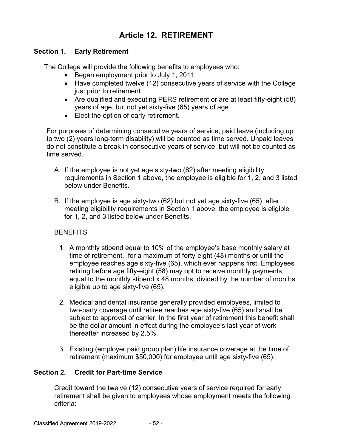## **Article 12. RETIREMENT**

### **Section 1. Early Retirement**

The College will provide the following benefits to employees who:

- Began employment prior to July 1, 2011
- Have completed twelve (12) consecutive years of service with the College just prior to retirement
- Are qualified and executing PERS retirement or are at least fifty-eight (58) years of age, but not yet sixty-five (65) years of age
- Elect the option of early retirement.

For purposes of determining consecutive years of service, paid leave (including up to two (2) years long-term disability) will be counted as time served. Unpaid leaves do not constitute a break in consecutive years of service, but will not be counted as time served.

- A. If the employee is not yet age sixty-two (62) after meeting eligibility requirements in Section 1 above, the employee is eligible for 1, 2, and 3 listed below under Benefits.
- B. If the employee is age sixty-two (62) but not yet age sixty-five (65), after meeting eligibility requirements in Section 1 above, the employee is eligible for 1, 2, and 3 listed below under Benefits.

## **BENEFITS**

- 1. A monthly stipend equal to 10% of the employee's base monthly salary at time of retirement. for a maximum of forty-eight (48) months or until the employee reaches age sixty-five (65), which ever happens first. Employees retiring before age fifty-eight (58) may opt to receive monthly payments equal to the monthly stipend x 48 months, divided by the number of months eligible up to age sixty-five (65).
- 2. Medical and dental insurance generally provided employees, limited to two-party coverage until retiree reaches age sixty-five (65) and shall be subject to approval of carrier. In the first year of retirement this benefit shall be the dollar amount in effect during the employee's last year of work thereafter increased by 2.5%.
- 3. Existing (employer paid group plan) life insurance coverage at the time of retirement (maximum \$50,000) for employee until age sixty-five (65).

## **Section 2. Credit for Part-time Service**

Credit toward the twelve (12) consecutive years of service required for early retirement shall be given to employees whose employment meets the following criteria: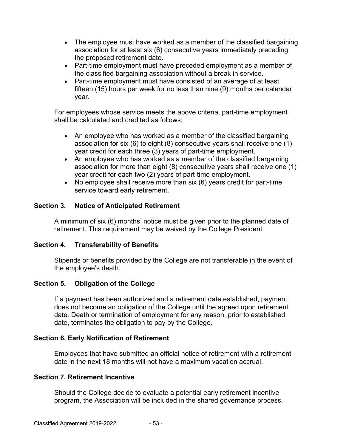- The employee must have worked as a member of the classified bargaining association for at least six (6) consecutive years immediately preceding the proposed retirement date.
- Part-time employment must have preceded employment as a member of the classified bargaining association without a break in service.
- Part-time employment must have consisted of an average of at least fifteen (15) hours per week for no less than nine (9) months per calendar year.

For employees whose service meets the above criteria, part-time employment shall be calculated and credited as follows:

- An employee who has worked as a member of the classified bargaining association for six (6) to eight (8) consecutive years shall receive one (1) year credit for each three (3) years of part-time employment.
- An employee who has worked as a member of the classified bargaining association for more than eight (8) consecutive years shall receive one (1) year credit for each two (2) years of part-time employment.
- $\bullet$  No employee shall receive more than six (6) years credit for part-time service toward early retirement.

## **Section 3. Notice of Anticipated Retirement**

A minimum of six (6) months' notice must be given prior to the planned date of retirement. This requirement may be waived by the College President.

## **Section 4. Transferability of Benefits**

Stipends or benefits provided by the College are not transferable in the event of the employee's death.

## **Section 5. Obligation of the College**

If a payment has been authorized and a retirement date established, payment does not become an obligation of the College until the agreed upon retirement date. Death or termination of employment for any reason, prior to established date, terminates the obligation to pay by the College.

## **Section 6. Early Notification of Retirement**

Employees that have submitted an official notice of retirement with a retirement date in the next 18 months will not have a maximum vacation accrual.

## **Section 7. Retirement Incentive**

Should the College decide to evaluate a potential early retirement incentive program, the Association will be included in the shared governance process.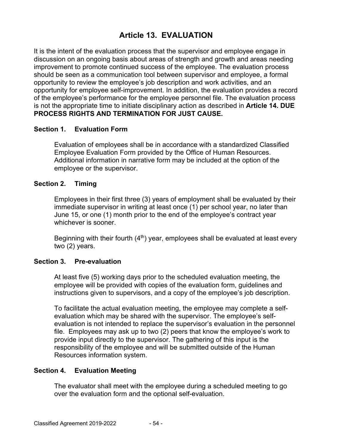## **Article 13. EVALUATION**

It is the intent of the evaluation process that the supervisor and employee engage in discussion on an ongoing basis about areas of strength and growth and areas needing improvement to promote continued success of the employee. The evaluation process should be seen as a communication tool between supervisor and employee, a formal opportunity to review the employee's job description and work activities, and an opportunity for employee self-improvement. In addition, the evaluation provides a record of the employee's performance for the employee personnel file. The evaluation process is not the appropriate time to initiate disciplinary action as described in **Article 14. DUE PROCESS RIGHTS AND TERMINATION FOR JUST CAUSE.**

#### **Section 1. Evaluation Form**

Evaluation of employees shall be in accordance with a standardized Classified Employee Evaluation Form provided by the Office of Human Resources. Additional information in narrative form may be included at the option of the employee or the supervisor.

#### **Section 2. Timing**

Employees in their first three (3) years of employment shall be evaluated by their immediate supervisor in writing at least once (1) per school year, no later than June 15, or one (1) month prior to the end of the employee's contract year whichever is sooner.

Beginning with their fourth  $(4<sup>th</sup>)$  year, employees shall be evaluated at least every two (2) years.

#### **Section 3. Pre-evaluation**

At least five (5) working days prior to the scheduled evaluation meeting, the employee will be provided with copies of the evaluation form, guidelines and instructions given to supervisors, and a copy of the employee's job description.

To facilitate the actual evaluation meeting, the employee may complete a selfevaluation which may be shared with the supervisor. The employee's selfevaluation is not intended to replace the supervisor's evaluation in the personnel file. Employees may ask up to two (2) peers that know the employee's work to provide input directly to the supervisor. The gathering of this input is the responsibility of the employee and will be submitted outside of the Human Resources information system.

#### **Section 4. Evaluation Meeting**

The evaluator shall meet with the employee during a scheduled meeting to go over the evaluation form and the optional self-evaluation.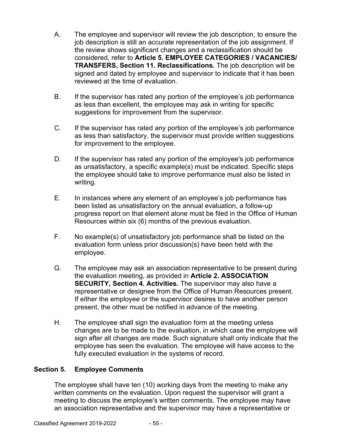- A. The employee and supervisor will review the job description, to ensure the job description is still an accurate representation of the job assignment. If the review shows significant changes and a reclassification should be considered, refer to **Article 5. EMPLOYEE CATEGORIES / VACANCIES/ TRANSFERS, Section 11. Reclassifications.** The job description will be signed and dated by employee and supervisor to indicate that it has been reviewed at the time of evaluation.
- B. If the supervisor has rated any portion of the employee's job performance as less than excellent, the employee may ask in writing for specific suggestions for improvement from the supervisor.
- C. If the supervisor has rated any portion of the employee's job performance as less than satisfactory, the supervisor must provide written suggestions for improvement to the employee.
- D. If the supervisor has rated any portion of the employee's job performance as unsatisfactory, a specific example(s) must be indicated. Specific steps the employee should take to improve performance must also be listed in writing.
- E. In instances where any element of an employee's job performance has been listed as unsatisfactory on the annual evaluation, a follow-up progress report on that element alone must be filed in the Office of Human Resources within six (6) months of the previous evaluation.
- F. No example(s) of unsatisfactory job performance shall be listed on the evaluation form unless prior discussion(s) have been held with the employee.
- G. The employee may ask an association representative to be present during the evaluation meeting, as provided in **Article 2. ASSOCIATION SECURITY, Section 4. Activities.** The supervisor may also have a representative or designee from the Office of Human Resources present. If either the employee or the supervisor desires to have another person present, the other must be notified in advance of the meeting.
- H. The employee shall sign the evaluation form at the meeting unless changes are to be made to the evaluation, in which case the employee will sign after all changes are made. Such signature shall only indicate that the employee has seen the evaluation. The employee will have access to the fully executed evaluation in the systems of record.

## **Section 5. Employee Comments**

The employee shall have ten (10) working days from the meeting to make any written comments on the evaluation. Upon request the supervisor will grant a meeting to discuss the employee's written comments. The employee may have an association representative and the supervisor may have a representative or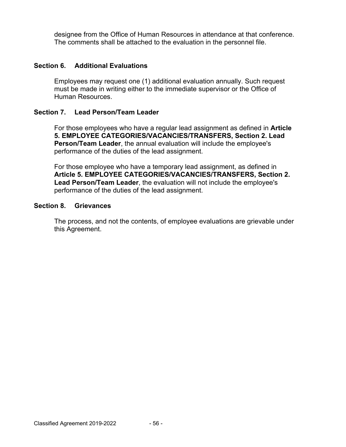designee from the Office of Human Resources in attendance at that conference. The comments shall be attached to the evaluation in the personnel file.

## **Section 6. Additional Evaluations**

Employees may request one (1) additional evaluation annually. Such request must be made in writing either to the immediate supervisor or the Office of Human Resources.

#### **Section 7. Lead Person/Team Leader**

For those employees who have a regular lead assignment as defined in **Article 5. EMPLOYEE CATEGORIES/VACANCIES/TRANSFERS, Section 2. Lead Person/Team Leader**, the annual evaluation will include the employee's performance of the duties of the lead assignment.

For those employee who have a temporary lead assignment, as defined in **Article 5. EMPLOYEE CATEGORIES/VACANCIES/TRANSFERS, Section 2. Lead Person/Team Leader**, the evaluation will not include the employee's performance of the duties of the lead assignment.

#### **Section 8. Grievances**

The process, and not the contents, of employee evaluations are grievable under this Agreement.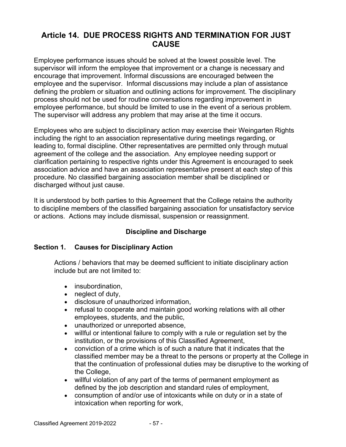## **Article 14. DUE PROCESS RIGHTS AND TERMINATION FOR JUST CAUSE**

Employee performance issues should be solved at the lowest possible level. The supervisor will inform the employee that improvement or a change is necessary and encourage that improvement. Informal discussions are encouraged between the employee and the supervisor. Informal discussions may include a plan of assistance defining the problem or situation and outlining actions for improvement. The disciplinary process should not be used for routine conversations regarding improvement in employee performance, but should be limited to use in the event of a serious problem. The supervisor will address any problem that may arise at the time it occurs.

Employees who are subject to disciplinary action may exercise their Weingarten Rights including the right to an association representative during meetings regarding, or leading to, formal discipline. Other representatives are permitted only through mutual agreement of the college and the association. Any employee needing support or clarification pertaining to respective rights under this Agreement is encouraged to seek association advice and have an association representative present at each step of this procedure. No classified bargaining association member shall be disciplined or discharged without just cause.

It is understood by both parties to this Agreement that the College retains the authority to discipline members of the classified bargaining association for unsatisfactory service or actions. Actions may include dismissal, suspension or reassignment.

## **Discipline and Discharge**

## **Section 1. Causes for Disciplinary Action**

Actions / behaviors that may be deemed sufficient to initiate disciplinary action include but are not limited to:

- insubordination,
- neglect of duty,
- disclosure of unauthorized information,
- refusal to cooperate and maintain good working relations with all other employees, students, and the public,
- unauthorized or unreported absence,
- willful or intentional failure to comply with a rule or regulation set by the institution, or the provisions of this Classified Agreement,
- conviction of a crime which is of such a nature that it indicates that the classified member may be a threat to the persons or property at the College in that the continuation of professional duties may be disruptive to the working of the College,
- willful violation of any part of the terms of permanent employment as defined by the job description and standard rules of employment,
- consumption of and/or use of intoxicants while on duty or in a state of intoxication when reporting for work,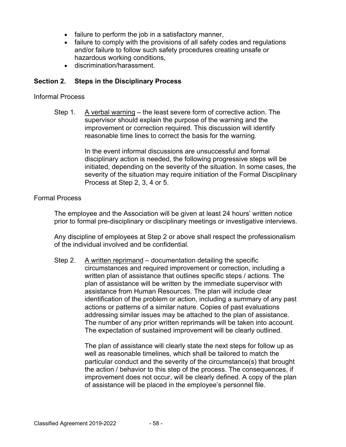- failure to perform the job in a satisfactory manner,
- failure to comply with the provisions of all safety codes and regulations and/or failure to follow such safety procedures creating unsafe or hazardous working conditions,
- discrimination/harassment.

### **Section 2. Steps in the Disciplinary Process**

#### Informal Process

Step 1. A verbal warning – the least severe form of corrective action. The supervisor should explain the purpose of the warning and the improvement or correction required. This discussion will identify reasonable time lines to correct the basis for the warning.

> In the event informal discussions are unsuccessful and formal disciplinary action is needed, the following progressive steps will be initiated, depending on the severity of the situation. In some cases, the severity of the situation may require initiation of the Formal Disciplinary Process at Step 2, 3, 4 or 5.

#### Formal Process

The employee and the Association will be given at least 24 hours' written notice prior to formal pre-disciplinary or disciplinary meetings or investigative interviews.

Any discipline of employees at Step 2 or above shall respect the professionalism of the individual involved and be confidential.

Step 2. A written reprimand – documentation detailing the specific circumstances and required improvement or correction, including a written plan of assistance that outlines specific steps / actions. The plan of assistance will be written by the immediate supervisor with assistance from Human Resources. The plan will include clear identification of the problem or action, including a summary of any past actions or patterns of a similar nature. Copies of past evaluations addressing similar issues may be attached to the plan of assistance. The number of any prior written reprimands will be taken into account. The expectation of sustained improvement will be clearly outlined.

> The plan of assistance will clearly state the next steps for follow up as well as reasonable timelines, which shall be tailored to match the particular conduct and the severity of the circumstance(s) that brought the action / behavior to this step of the process. The consequences, if improvement does not occur, will be clearly defined. A copy of the plan of assistance will be placed in the employee's personnel file.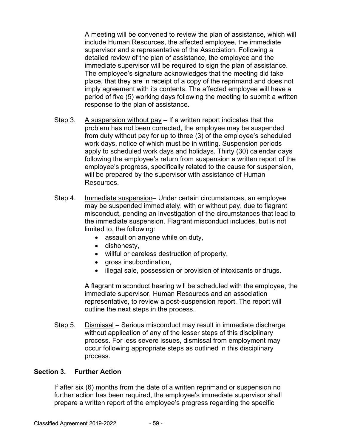A meeting will be convened to review the plan of assistance, which will include Human Resources, the affected employee, the immediate supervisor and a representative of the Association. Following a detailed review of the plan of assistance, the employee and the immediate supervisor will be required to sign the plan of assistance. The employee's signature acknowledges that the meeting did take place, that they are in receipt of a copy of the reprimand and does not imply agreement with its contents. The affected employee will have a period of five (5) working days following the meeting to submit a written response to the plan of assistance.

- Step 3. A suspension without pay If a written report indicates that the problem has not been corrected, the employee may be suspended from duty without pay for up to three (3) of the employee's scheduled work days, notice of which must be in writing. Suspension periods apply to scheduled work days and holidays. Thirty (30) calendar days following the employee's return from suspension a written report of the employee's progress, specifically related to the cause for suspension, will be prepared by the supervisor with assistance of Human Resources.
- Step 4. Immediate suspension– Under certain circumstances, an employee may be suspended immediately, with or without pay, due to flagrant misconduct, pending an investigation of the circumstances that lead to the immediate suspension. Flagrant misconduct includes, but is not limited to, the following:
	- assault on anyone while on duty,
	- dishonesty,
	- willful or careless destruction of property,
	- gross insubordination,
	- illegal sale, possession or provision of intoxicants or drugs.

A flagrant misconduct hearing will be scheduled with the employee, the immediate supervisor, Human Resources and an association representative, to review a post-suspension report. The report will outline the next steps in the process.

Step 5. Dismissal – Serious misconduct may result in immediate discharge, without application of any of the lesser steps of this disciplinary process. For less severe issues, dismissal from employment may occur following appropriate steps as outlined in this disciplinary process.

#### **Section 3. Further Action**

If after six (6) months from the date of a written reprimand or suspension no further action has been required, the employee's immediate supervisor shall prepare a written report of the employee's progress regarding the specific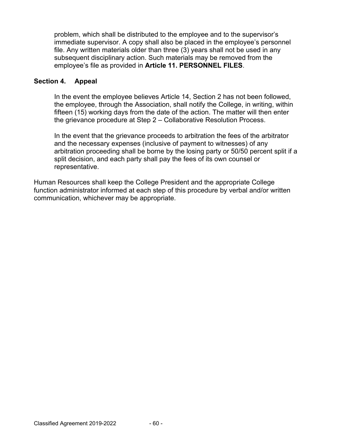problem, which shall be distributed to the employee and to the supervisor's immediate supervisor. A copy shall also be placed in the employee's personnel file. Any written materials older than three (3) years shall not be used in any subsequent disciplinary action. Such materials may be removed from the employee's file as provided in **Article 11. PERSONNEL FILES**.

### **Section 4. Appeal**

In the event the employee believes Article 14, Section 2 has not been followed, the employee, through the Association, shall notify the College, in writing, within fifteen (15) working days from the date of the action. The matter will then enter the grievance procedure at Step 2 – Collaborative Resolution Process.

In the event that the grievance proceeds to arbitration the fees of the arbitrator and the necessary expenses (inclusive of payment to witnesses) of any arbitration proceeding shall be borne by the losing party or 50/50 percent split if a split decision, and each party shall pay the fees of its own counsel or representative.

Human Resources shall keep the College President and the appropriate College function administrator informed at each step of this procedure by verbal and/or written communication, whichever may be appropriate.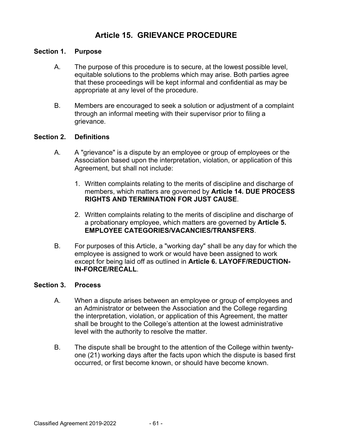## **Article 15. GRIEVANCE PROCEDURE**

#### **Section 1. Purpose**

- A. The purpose of this procedure is to secure, at the lowest possible level, equitable solutions to the problems which may arise. Both parties agree that these proceedings will be kept informal and confidential as may be appropriate at any level of the procedure.
- B. Members are encouraged to seek a solution or adjustment of a complaint through an informal meeting with their supervisor prior to filing a grievance.

#### **Section 2. Definitions**

- A. A "grievance" is a dispute by an employee or group of employees or the Association based upon the interpretation, violation, or application of this Agreement, but shall not include:
	- 1. Written complaints relating to the merits of discipline and discharge of members, which matters are governed by **Article 14. DUE PROCESS RIGHTS AND TERMINATION FOR JUST CAUSE**.
	- 2. Written complaints relating to the merits of discipline and discharge of a probationary employee, which matters are governed by **Article 5. EMPLOYEE CATEGORIES/VACANCIES/TRANSFERS**.
- B. For purposes of this Article, a "working day" shall be any day for which the employee is assigned to work or would have been assigned to work except for being laid off as outlined in **Article 6. LAYOFF/REDUCTION-IN-FORCE/RECALL**.

#### **Section 3. Process**

- A. When a dispute arises between an employee or group of employees and an Administrator or between the Association and the College regarding the interpretation, violation, or application of this Agreement, the matter shall be brought to the College's attention at the lowest administrative level with the authority to resolve the matter.
- B. The dispute shall be brought to the attention of the College within twentyone (21) working days after the facts upon which the dispute is based first occurred, or first become known, or should have become known.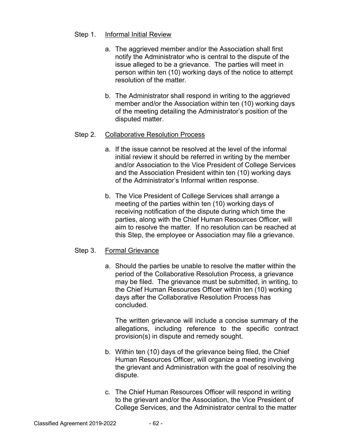### Step 1. Informal Initial Review

- a. The aggrieved member and/or the Association shall first notify the Administrator who is central to the dispute of the issue alleged to be a grievance. The parties will meet in person within ten (10) working days of the notice to attempt resolution of the matter.
- b. The Administrator shall respond in writing to the aggrieved member and/or the Association within ten (10) working days of the meeting detailing the Administrator's position of the disputed matter.

### Step 2. Collaborative Resolution Process

- a. If the issue cannot be resolved at the level of the informal initial review it should be referred in writing by the member and/or Association to the Vice President of College Services and the Association President within ten (10) working days of the Administrator's Informal written response.
- b. The Vice President of College Services shall arrange a meeting of the parties within ten (10) working days of receiving notification of the dispute during which time the parties, along with the Chief Human Resources Officer, will aim to resolve the matter. If no resolution can be reached at this Step, the employee or Association may file a grievance.

#### Step 3. Formal Grievance

a. Should the parties be unable to resolve the matter within the period of the Collaborative Resolution Process, a grievance may be filed. The grievance must be submitted, in writing, to the Chief Human Resources Officer within ten (10) working days after the Collaborative Resolution Process has concluded.

 The written grievance will include a concise summary of the allegations, including reference to the specific contract provision(s) in dispute and remedy sought.

- b. Within ten (10) days of the grievance being filed, the Chief Human Resources Officer, will organize a meeting involving the grievant and Administration with the goal of resolving the dispute.
- c. The Chief Human Resources Officer will respond in writing to the grievant and/or the Association, the Vice President of College Services, and the Administrator central to the matter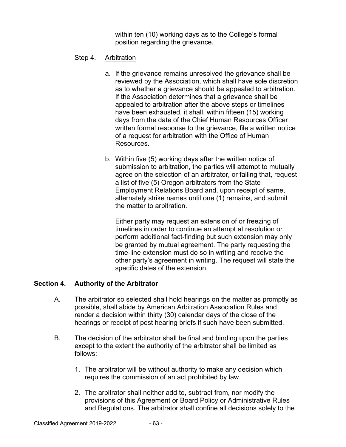within ten (10) working days as to the College's formal position regarding the grievance.

- Step 4. Arbitration
	- a. If the grievance remains unresolved the grievance shall be reviewed by the Association, which shall have sole discretion as to whether a grievance should be appealed to arbitration. If the Association determines that a grievance shall be appealed to arbitration after the above steps or timelines have been exhausted, it shall, within fifteen (15) working days from the date of the Chief Human Resources Officer written formal response to the grievance, file a written notice of a request for arbitration with the Office of Human **Resources**
	- b. Within five (5) working days after the written notice of submission to arbitration, the parties will attempt to mutually agree on the selection of an arbitrator, or failing that, request a list of five (5) Oregon arbitrators from the State Employment Relations Board and, upon receipt of same, alternately strike names until one (1) remains, and submit the matter to arbitration.

 Either party may request an extension of or freezing of timelines in order to continue an attempt at resolution or perform additional fact-finding but such extension may only be granted by mutual agreement. The party requesting the time-line extension must do so in writing and receive the other party's agreement in writing. The request will state the specific dates of the extension.

## **Section 4. Authority of the Arbitrator**

- A. The arbitrator so selected shall hold hearings on the matter as promptly as possible, shall abide by American Arbitration Association Rules and render a decision within thirty (30) calendar days of the close of the hearings or receipt of post hearing briefs if such have been submitted.
- B. The decision of the arbitrator shall be final and binding upon the parties except to the extent the authority of the arbitrator shall be limited as follows:
	- 1. The arbitrator will be without authority to make any decision which requires the commission of an act prohibited by law.
	- 2. The arbitrator shall neither add to, subtract from, nor modify the provisions of this Agreement or Board Policy or Administrative Rules and Regulations. The arbitrator shall confine all decisions solely to the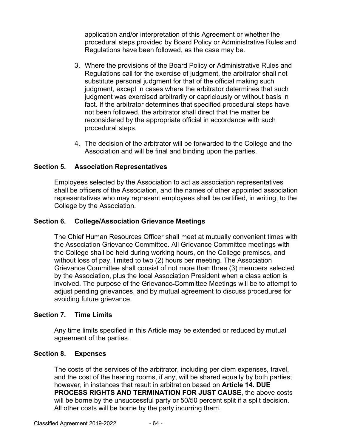application and/or interpretation of this Agreement or whether the procedural steps provided by Board Policy or Administrative Rules and Regulations have been followed, as the case may be.

- 3. Where the provisions of the Board Policy or Administrative Rules and Regulations call for the exercise of judgment, the arbitrator shall not substitute personal judgment for that of the official making such judgment, except in cases where the arbitrator determines that such judgment was exercised arbitrarily or capriciously or without basis in fact. If the arbitrator determines that specified procedural steps have not been followed, the arbitrator shall direct that the matter be reconsidered by the appropriate official in accordance with such procedural steps.
- 4. The decision of the arbitrator will be forwarded to the College and the Association and will be final and binding upon the parties.

## **Section 5. Association Representatives**

Employees selected by the Association to act as association representatives shall be officers of the Association, and the names of other appointed association representatives who may represent employees shall be certified, in writing, to the College by the Association.

### **Section 6. College/Association Grievance Meetings**

The Chief Human Resources Officer shall meet at mutually convenient times with the Association Grievance Committee. All Grievance Committee meetings with the College shall be held during working hours, on the College premises, and without loss of pay, limited to two (2) hours per meeting. The Association Grievance Committee shall consist of not more than three (3) members selected by the Association, plus the local Association President when a class action is involved. The purpose of the Grievance Committee Meetings will be to attempt to adjust pending grievances, and by mutual agreement to discuss procedures for avoiding future grievance.

#### **Section 7. Time Limits**

Any time limits specified in this Article may be extended or reduced by mutual agreement of the parties.

#### **Section 8. Expenses**

The costs of the services of the arbitrator, including per diem expenses, travel, and the cost of the hearing rooms, if any, will be shared equally by both parties; however, in instances that result in arbitration based on **Article 14. DUE PROCESS RIGHTS AND TERMINATION FOR JUST CAUSE**, the above costs will be borne by the unsuccessful party or 50/50 percent split if a split decision. All other costs will be borne by the party incurring them.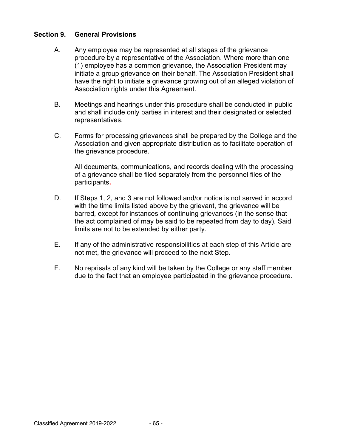#### **Section 9. General Provisions**

- A. Any employee may be represented at all stages of the grievance procedure by a representative of the Association. Where more than one (1) employee has a common grievance, the Association President may initiate a group grievance on their behalf. The Association President shall have the right to initiate a grievance growing out of an alleged violation of Association rights under this Agreement.
- B. Meetings and hearings under this procedure shall be conducted in public and shall include only parties in interest and their designated or selected representatives.
- C. Forms for processing grievances shall be prepared by the College and the Association and given appropriate distribution as to facilitate operation of the grievance procedure.

All documents, communications, and records dealing with the processing of a grievance shall be filed separately from the personnel files of the participants**.** 

- D. If Steps 1, 2, and 3 are not followed and/or notice is not served in accord with the time limits listed above by the grievant, the grievance will be barred, except for instances of continuing grievances (in the sense that the act complained of may be said to be repeated from day to day). Said limits are not to be extended by either party.
- E. If any of the administrative responsibilities at each step of this Article are not met, the grievance will proceed to the next Step.
- F. No reprisals of any kind will be taken by the College or any staff member due to the fact that an employee participated in the grievance procedure.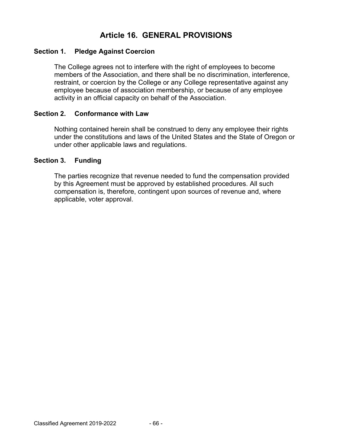## **Article 16. GENERAL PROVISIONS**

### **Section 1. Pledge Against Coercion**

The College agrees not to interfere with the right of employees to become members of the Association, and there shall be no discrimination, interference, restraint, or coercion by the College or any College representative against any employee because of association membership, or because of any employee activity in an official capacity on behalf of the Association.

#### **Section 2. Conformance with Law**

Nothing contained herein shall be construed to deny any employee their rights under the constitutions and laws of the United States and the State of Oregon or under other applicable laws and regulations.

#### **Section 3. Funding**

The parties recognize that revenue needed to fund the compensation provided by this Agreement must be approved by established procedures. All such compensation is, therefore, contingent upon sources of revenue and, where applicable, voter approval.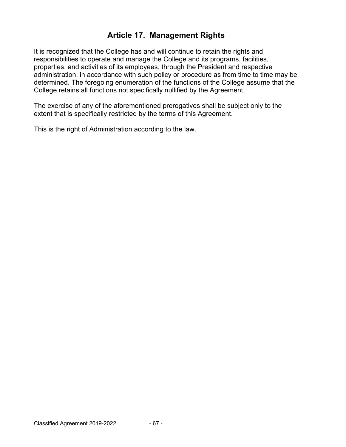## **Article 17. Management Rights**

It is recognized that the College has and will continue to retain the rights and responsibilities to operate and manage the College and its programs, facilities, properties, and activities of its employees, through the President and respective administration, in accordance with such policy or procedure as from time to time may be determined. The foregoing enumeration of the functions of the College assume that the College retains all functions not specifically nullified by the Agreement.

The exercise of any of the aforementioned prerogatives shall be subject only to the extent that is specifically restricted by the terms of this Agreement.

This is the right of Administration according to the law.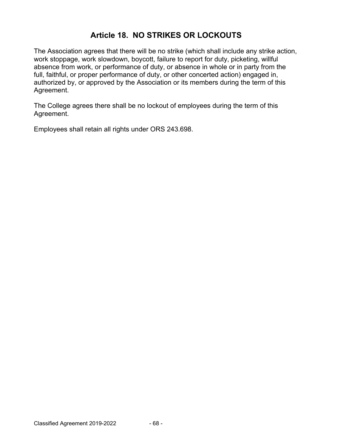## **Article 18. NO STRIKES OR LOCKOUTS**

The Association agrees that there will be no strike (which shall include any strike action, work stoppage, work slowdown, boycott, failure to report for duty, picketing, willful absence from work, or performance of duty, or absence in whole or in party from the full, faithful, or proper performance of duty, or other concerted action) engaged in, authorized by, or approved by the Association or its members during the term of this Agreement.

The College agrees there shall be no lockout of employees during the term of this Agreement.

Employees shall retain all rights under ORS 243.698.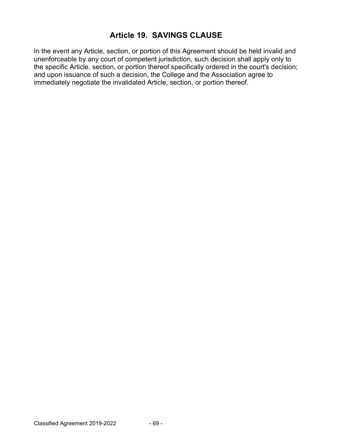## **Article 19. SAVINGS CLAUSE**

In the event any Article, section, or portion of this Agreement should be held invalid and unenforceable by any court of competent jurisdiction, such decision shall apply only to the specific Article, section, or portion thereof specifically ordered in the court's decision; and upon issuance of such a decision, the College and the Association agree to immediately negotiate the invalidated Article, section, or portion thereof.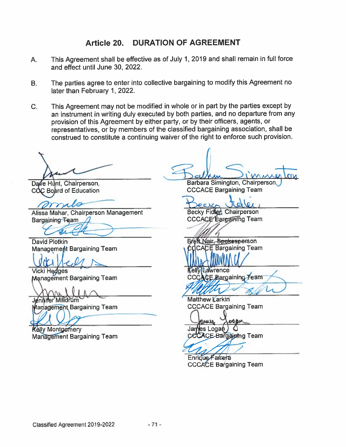## Article 20. DURATION OF AGREEMENT

- This Agreement shall be effective as of July 1, 2019 and shall remain in full force  $A_{n}$ and effect until June 30, 2022.
- The parties agree to enter into collective bargaining to modify this Agreement no В. later than February 1, 2022.
- $\mathsf{C}$ . This Agreement may not be modified in whole or in part by the parties except by an instrument in writing duly executed by both parties, and no departure from any provision of this Agreement by either party, or by their officers, agents, or representatives, or by members of the classified bargaining association, shall be construed to constitute a continuing waiver of the right to enforce such provision.

Dave Hunt, Chairperson, COC Board of Education

Alissa Mahar, Chairperson Management Bargaining Team

**David Plotkin** Management Bargaining Team

**Vicki Hedges Management Bargaining Team** 

 $\bigcap \Lambda$ 

Jennifer Milldrum Management Bargaining Team

**Kelly Montgomery Management Bargaining Team** 

Barbara Simington, Chairperson, **CCCACE Bargaining Team** 

**Becky Fidled Chairperson** 

CCCACE Bargaining Team

Breft Nair, Spokesperson COCACE Bargaining Team

**Kelly Lawrence** CCCACE Bargaining Team

**Matthew Karkin CCCACE Bargaining Team** 

aumo James Logan ) **CCCACE Bargaining Team** 

Enrique Fairera **CCCACE Bargaining Team**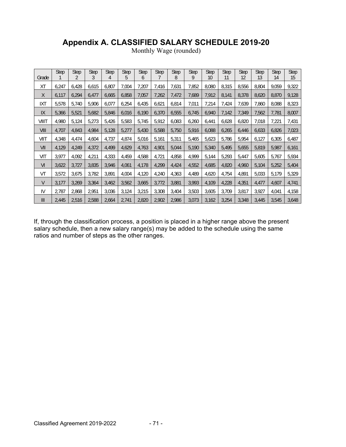# **Appendix A. CLASSIFIED SALARY SCHEDULE 2019-20**

|       | <b>Step</b> | <b>Step</b> | Step  | <b>Step</b> | <b>Step</b> | <b>Step</b> | <b>Step</b> | <b>Step</b> | <b>Step</b> | <b>Step</b> | <b>Step</b> | <b>Step</b> | <b>Step</b> | <b>Step</b> | <b>Step</b> |
|-------|-------------|-------------|-------|-------------|-------------|-------------|-------------|-------------|-------------|-------------|-------------|-------------|-------------|-------------|-------------|
| Grade |             | 2           | 3     | 4           | 5           | 6           |             | 8           | 9           | 10          | 11          | 12          | 13          | 14          | 15          |
| ХT    | 6,247       | 6,428       | 6,615 | 6,807       | 7,004       | 7,207       | 7,416       | 7,631       | 7,852       | 8,080       | 8,315       | 8,556       | 8,804       | 9,059       | 9,322       |
| X     | 6,117       | 6,294       | 6,477 | 6,665       | 6,858       | 7,057       | 7,262       | 7,472       | 7,689       | 7,912       | 8,141       | 8,378       | 8,620       | 8,870       | 9,128       |
| IXT   | 5,578       | 5,740       | 5,906 | 6,077       | 6,254       | 6,435       | 6,621       | 6,814       | 7,011       | 7,214       | 7,424       | 7,639       | 7,860       | 8,088       | 8,323       |
| IX    | 5,366       | 5,521       | 5,682 | 5,846       | 6,016       | 6,190       | 6,370       | 6,555       | 6,745       | 6,940       | 7,142       | 7,349       | 7,562       | 7,781       | 8,007       |
| VIIIT | 4,980       | 5,124       | 5,273 | 5,426       | 5,583       | 5,745       | 5,912       | 6,083       | 6,260       | 6,441       | 6,628       | 6,820       | 7,018       | 7,221       | 7,431       |
| VIII  | 4,707       | 4,843       | 4,984 | 5,128       | 5,277       | 5,430       | 5,588       | 5,750       | 5,916       | 6,088       | 6,265       | 6,446       | 6,633       | 6,826       | 7,023       |
| VIIT  | 4,348       | 4,474       | 4,604 | 4,737       | 4,874       | 5,016       | 5,161       | 5,311       | 5,465       | 5,623       | 5,786       | 5,954       | 6,127       | 6,305       | 6,487       |
| VII   | 4,129       | 4,249       | 4,372 | 4,499       | 4,629       | 4,763       | 4,901       | 5,044       | 5,190       | 5,340       | 5,495       | 5,655       | 5,819       | 5,987       | 6,161       |
| VIT   | 3,977       | 4,092       | 4,211 | 4,333       | 4,459       | 4,588       | 4,721       | 4,858       | 4,999       | 5,144       | 5,293       | 5,447       | 5,605       | 5,767       | 5,934       |
| VI    | 3,622       | 3,727       | 3,835 | 3,946       | 4,061       | 4,178       | 4,299       | 4,424       | 4,552       | 4,685       | 4,820       | 4,960       | 5,104       | 5,252       | 5,404       |
| VT    | 3,572       | 3,675       | 3,782 | 3.891       | 4,004       | 4,120       | 4,240       | 4,363       | 4,489       | 4,620       | 4,754       | 4.891       | 5,033       | 5,179       | 5,329       |
| V     | 3,177       | 3,269       | 3,364 | 3,462       | 3,562       | 3,665       | 3,772       | 3,881       | 3,993       | 4,109       | 4,228       | 4,351       | 4,477       | 4,607       | 4,741       |
| IV    | 2,787       | 2,868       | 2,951 | 3,036       | 3,124       | 3,215       | 3,308       | 3,404       | 3,503       | 3,605       | 3,709       | 3,817       | 3,927       | 4,041       | 4,158       |
| III   | 2,445       | 2,516       | 2,588 | 2,664       | 2,741       | 2,820       | 2,902       | 2,986       | 3,073       | 3,162       | 3,254       | 3,348       | 3,445       | 3,545       | 3,648       |

Monthly Wage (rounded)

If, through the classification process, a position is placed in a higher range above the present salary schedule, then a new salary range(s) may be added to the schedule using the same ratios and number of steps as the other ranges.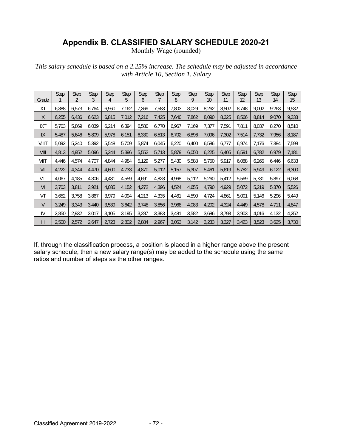## **Appendix B. CLASSIFIED SALARY SCHEDULE 2020-21**

Monthly Wage (rounded)

*This salary schedule is based on a 2.25% increase. The schedule may be adjusted in accordance with Article 10, Section 1. Salary* 

| Grade          | <b>Step</b> | <b>Step</b><br>2 | <b>Step</b><br>3 | <b>Step</b><br>4 | <b>Step</b><br>5 | <b>Step</b><br>6 | <b>Step</b> | <b>Step</b><br>8 | <b>Step</b><br>9 | <b>Step</b><br>10 | <b>Step</b><br>11 | <b>Step</b><br>12 | <b>Step</b><br>13 | <b>Step</b><br>14 | <b>Step</b><br>15 |
|----------------|-------------|------------------|------------------|------------------|------------------|------------------|-------------|------------------|------------------|-------------------|-------------------|-------------------|-------------------|-------------------|-------------------|
| XT             | 6,388       | 6,573            | 6,764            | 6,960            | 7,162            | 7,369            | 7,583       | 7,803            | 8,029            | 8,262             | 8,502             | 8,748             | 9,002             | 9,263             | 9,532             |
| X              | 6,255       | 6,436            | 6,623            | 6,815            | 7,012            | 7,216            | 7,425       | 7,640            | 7,862            | 8,090             | 8,325             | 8,566             | 8,814             | 9,070             | 9,333             |
| IXT            | 5,703       | 5,869            | 6,039            | 6,214            | 6,394            | 6,580            | 6,770       | 6,967            | 7,169            | 7,377             | 7,591             | 7,811             | 8,037             | 8,270             | 8,510             |
| IX             | 5,487       | 5,646            | 5,809            | 5,978            | 6,151            | 6,330            | 6,513       | 6,702            | 6,896            | 7,096             | 7,302             | 7,514             | 7,732             | 7,956             | 8,187             |
| VIIIT          | 5,092       | 5,240            | 5,392            | 5,548            | 5,709            | 5,874            | 6,045       | 6,220            | 6,400            | 6,586             | 6,777             | 6,974             | 7,176             | 7,384             | 7,598             |
| VIII           | 4,813       | 4,952            | 5,096            | 5,244            | 5,396            | 5,552            | 5,713       | 5,879            | 6,050            | 6,225             | 6,405             | 6,591             | 6,782             | 6,979             | 7,181             |
| VIIT           | 4,446       | 4,574            | 4,707            | 4,844            | 4,984            | 5,129            | 5,277       | 5,430            | 5,588            | 5,750             | 5,917             | 6,088             | 6,265             | 6,446             | 6,633             |
| VII            | 4,222       | 4,344            | 4,470            | 4,600            | 4,733            | 4,870            | 5,012       | 5,157            | 5,307            | 5,461             | 5,619             | 5,782             | 5,949             | 6,122             | 6,300             |
| VIT            | 4,067       | 4,185            | 4,306            | 4,431            | 4,559            | 4,691            | 4,828       | 4,968            | 5,112            | 5,260             | 5,412             | 5,569             | 5,731             | 5,897             | 6,068             |
| VI             | 3,703       | 3,811            | 3,921            | 4,035            | 4,152            | 4,272            | 4,396       | 4,524            | 4,655            | 4,790             | 4,929             | 5,072             | 5,219             | 5,370             | 5,526             |
| VT             | 3,652       | 3,758            | 3,867            | 3,979            | 4,094            | 4,213            | 4,335       | 4,461            | 4,590            | 4,724             | 4,861             | 5,001             | 5,146             | 5,296             | 5,449             |
| $\vee$         | 3,249       | 3,343            | 3,440            | 3,539            | 3,642            | 3,748            | 3,856       | 3,968            | 4,083            | 4,202             | 4,324             | 4,449             | 4,578             | 4,711             | 4,847             |
| IV             | 2,850       | 2,932            | 3,017            | 3,105            | 3,195            | 3,287            | 3,383       | 3,481            | 3,582            | 3,686             | 3,793             | 3,903             | 4,016             | 4,132             | 4,252             |
| $\mathsf{III}$ | 2,500       | 2,572            | 2,647            | 2,723            | 2,802            | 2,884            | 2,967       | 3,053            | 3,142            | 3,233             | 3,327             | 3,423             | 3,523             | 3,625             | 3,730             |

If, through the classification process, a position is placed in a higher range above the present salary schedule, then a new salary range(s) may be added to the schedule using the same ratios and number of steps as the other ranges.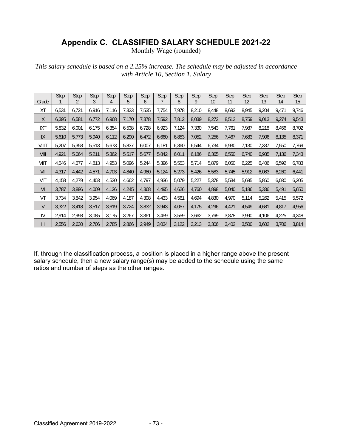## **Appendix C. CLASSIFIED SALARY SCHEDULE 2021-22**

Monthly Wage (rounded)

*This salary schedule is based on a 2.25% increase. The schedule may be adjusted in accordance with Article 10, Section 1. Salary* 

| Grade          | <b>Step</b> | <b>Step</b><br>2 | <b>Step</b><br>3 | <b>Step</b><br>4 | <b>Step</b><br>5 | <b>Step</b><br>6 | <b>Step</b> | <b>Step</b><br>8 | <b>Step</b><br>9 | <b>Step</b><br>10 | <b>Step</b><br>11 | <b>Step</b><br>12 | <b>Step</b><br>13 | <b>Step</b><br>14 | <b>Step</b><br>15 |
|----------------|-------------|------------------|------------------|------------------|------------------|------------------|-------------|------------------|------------------|-------------------|-------------------|-------------------|-------------------|-------------------|-------------------|
| XT             | 6,531       | 6,721            | 6,916            | 7,116            | 7,323            | 7,535            | 7,754       | 7,978            | 8,210            | 8,448             | 8,693             | 8,945             | 9,204             | 9,471             | 9,746             |
| X              | 6,395       | 6,581            | 6,772            | 6,968            | 7,170            | 7,378            | 7,592       | 7,812            | 8,039            | 8,272             | 8,512             | 8,759             | 9,013             | 9,274             | 9,543             |
| IXT            | 5,832       | 6,001            | 6.175            | 6,354            | 6,538            | 6,728            | 6,923       | 7,124            | 7.330            | 7,543             | 7,761             | 7.987             | 8,218             | 8,456             | 8,702             |
| IX             | 5,610       | 5,773            | 5,940            | 6,112            | 6,290            | 6,472            | 6,660       | 6,853            | 7,052            | 7,256             | 7,467             | 7,683             | 7,906             | 8,135             | 8,371             |
| VIIIT          | 5,207       | 5,358            | 5,513            | 5,673            | 5,837            | 6,007            | 6,181       | 6,360            | 6,544            | 6,734             | 6,930             | 7,130             | 7,337             | 7,550             | 7,769             |
| VIII           | 4,921       | 5,064            | 5,211            | 5,362            | 5,517            | 5,677            | 5,842       | 6,011            | 6,186            | 6,365             | 6,550             | 6,740             | 6,935             | 7,136             | 7,343             |
| VIIT           | 4,546       | 4,677            | 4,813            | 4,953            | 5,096            | 5,244            | 5,396       | 5,553            | 5,714            | 5,879             | 6,050             | 6,225             | 6,406             | 6,592             | 6,783             |
| VII            | 4,317       | 4,442            | 4,571            | 4,703            | 4,840            | 4.980            | 5,124       | 5,273            | 5,426            | 5,583             | 5,745             | 5,912             | 6,083             | 6,260             | 6,441             |
| VIT            | 4,158       | 4,279            | 4,403            | 4,530            | 4,662            | 4,797            | 4,936       | 5,079            | 5,227            | 5,378             | 5,534             | 5,695             | 5,860             | 6,030             | 6,205             |
| VI             | 3,787       | 3,896            | 4,009            | 4,126            | 4,245            | 4,368            | 4,495       | 4,626            | 4,760            | 4,898             | 5,040             | 5,186             | 5,336             | 5,491             | 5,650             |
| VT             | 3,734       | 3,842            | 3,954            | 4.069            | 4,187            | 4,308            | 4,433       | 4,561            | 4,694            | 4,830             | 4,970             | 5,114             | 5,262             | 5,415             | 5,572             |
| V              | 3,322       | 3,418            | 3,517            | 3,619            | 3,724            | 3,832            | 3,943       | 4,057            | 4,175            | 4,296             | 4,421             | 4,549             | 4,681             | 4,817             | 4,956             |
| IV             | 2,914       | 2,998            | 3,085            | 3,175            | 3,267            | 3,361            | 3,459       | 3,559            | 3,662            | 3,769             | 3,878             | 3,990             | 4,106             | 4,225             | 4,348             |
| $\mathsf{III}$ | 2,556       | 2,630            | 2,706            | 2,785            | 2,866            | 2,949            | 3,034       | 3,122            | 3,213            | 3,306             | 3,402             | 3,500             | 3,602             | 3,706             | 3,814             |

If, through the classification process, a position is placed in a higher range above the present salary schedule, then a new salary range(s) may be added to the schedule using the same ratios and number of steps as the other ranges.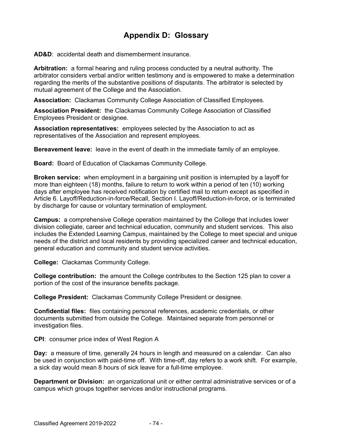## **Appendix D: Glossary**

**AD&D**: accidental death and dismemberment insurance.

**Arbitration:** a formal hearing and ruling process conducted by a neutral authority. The arbitrator considers verbal and/or written testimony and is empowered to make a determination regarding the merits of the substantive positions of disputants. The arbitrator is selected by mutual agreement of the College and the Association.

**Association:** Clackamas Community College Association of Classified Employees.

**Association President:** the Clackamas Community College Association of Classified Employees President or designee.

**Association representatives:** employees selected by the Association to act as representatives of the Association and represent employees.

**Bereavement leave:** leave in the event of death in the immediate family of an employee.

**Board:** Board of Education of Clackamas Community College.

**Broken service:** when employment in a bargaining unit position is interrupted by a layoff for more than eighteen (18) months, failure to return to work within a period of ten (10) working days after employee has received notification by certified mail to return except as specified in Article 6. Layoff/Reduction-in-force/Recall, Section I. Layoff/Reduction-in-force, or is terminated by discharge for cause or voluntary termination of employment.

**Campus:** a comprehensive College operation maintained by the College that includes lower division collegiate, career and technical education, community and student services. This also includes the Extended Learning Campus, maintained by the College to meet special and unique needs of the district and local residents by providing specialized career and technical education, general education and community and student service activities.

**College:** Clackamas Community College.

**College contribution:** the amount the College contributes to the Section 125 plan to cover a portion of the cost of the insurance benefits package.

**College President:** Clackamas Community College President or designee.

**Confidential files:** files containing personal references, academic credentials, or other documents submitted from outside the College. Maintained separate from personnel or investigation files.

**CPI**: consumer price index of West Region A

**Day:** a measure of time, generally 24 hours in length and measured on a calendar. Can also be used in conjunction with paid-time off. With time-off, day refers to a work shift. For example, a sick day would mean 8 hours of sick leave for a full-time employee.

**Department or Division:** an organizational unit or either central administrative services or of a campus which groups together services and/or instructional programs.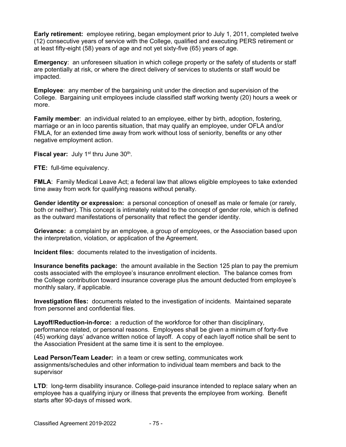**Early retirement:** employee retiring, began employment prior to July 1, 2011, completed twelve (12) consecutive years of service with the College, qualified and executing PERS retirement or at least fifty-eight (58) years of age and not yet sixty-five (65) years of age.

**Emergency**: an unforeseen situation in which college property or the safety of students or staff are potentially at risk, or where the direct delivery of services to students or staff would be impacted.

**Employee**: any member of the bargaining unit under the direction and supervision of the College. Bargaining unit employees include classified staff working twenty (20) hours a week or more.

**Family member**: an individual related to an employee, either by birth, adoption, fostering, marriage or an in loco parentis situation, that may qualify an employee, under OFLA and/or FMLA, for an extended time away from work without loss of seniority, benefits or any other negative employment action.

**Fiscal year:** July 1<sup>st</sup> thru June 30<sup>th</sup>.

**FTE:** full-time equivalency.

**FMLA**: Family Medical Leave Act; a federal law that allows eligible employees to take extended time away from work for qualifying reasons without penalty.

**Gender identity or expression:** a personal conception of oneself as male or female (or rarely, both or neither). This concept is intimately related to the concept of gender role, which is defined as the outward manifestations of personality that reflect the gender identity.

**Grievance:** a complaint by an employee, a group of employees, or the Association based upon the interpretation, violation, or application of the Agreement.

**Incident files:** documents related to the investigation of incidents.

**Insurance benefits package:** the amount available in the Section 125 plan to pay the premium costs associated with the employee's insurance enrollment election. The balance comes from the College contribution toward insurance coverage plus the amount deducted from employee's monthly salary, if applicable.

**Investigation files:** documents related to the investigation of incidents. Maintained separate from personnel and confidential files.

**Layoff/Reduction-in-force:** a reduction of the workforce for other than disciplinary, performance related, or personal reasons. Employees shall be given a minimum of forty-five (45) working days' advance written notice of layoff. A copy of each layoff notice shall be sent to the Association President at the same time it is sent to the employee.

**Lead Person/Team Leader:** in a team or crew setting, communicates work assignments/schedules and other information to individual team members and back to the supervisor

**LTD:** long-term disability insurance. College-paid insurance intended to replace salary when an employee has a qualifying injury or illness that prevents the employee from working. Benefit starts after 90-days of missed work.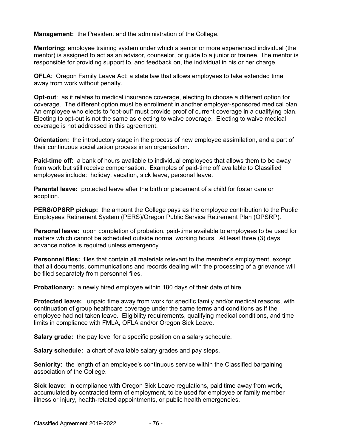**Management:** the President and the administration of the College.

**Mentoring:** employee training system under which a senior or more experienced individual (the mentor) is assigned to act as an advisor, counselor, or guide to a junior or trainee. The mentor is responsible for providing support to, and feedback on, the individual in his or her charge.

**OFLA**: Oregon Family Leave Act; a state law that allows employees to take extended time away from work without penalty.

**Opt-out**: as it relates to medical insurance coverage, electing to choose a different option for coverage. The different option must be enrollment in another employer-sponsored medical plan. An employee who elects to "opt-out" must provide proof of current coverage in a qualifying plan. Electing to opt-out is not the same as electing to waive coverage. Electing to waive medical coverage is not addressed in this agreement.

**Orientation:** the introductory stage in the process of new employee assimilation, and a part of their continuous socialization process in an organization.

**Paid-time off:** a bank of hours available to individual employees that allows them to be away from work but still receive compensation. Examples of paid-time off available to Classified employees include: holiday, vacation, sick leave, personal leave.

**Parental leave:** protected leave after the birth or placement of a child for foster care or adoption.

**PERS/OPSRP pickup:** the amount the College pays as the employee contribution to the Public Employees Retirement System (PERS)/Oregon Public Service Retirement Plan (OPSRP).

**Personal leave:** upon completion of probation, paid-time available to employees to be used for matters which cannot be scheduled outside normal working hours. At least three (3) days' advance notice is required unless emergency.

**Personnel files:** files that contain all materials relevant to the member's employment, except that all documents, communications and records dealing with the processing of a grievance will be filed separately from personnel files.

**Probationary:** a newly hired employee within 180 days of their date of hire.

**Protected leave:** unpaid time away from work for specific family and/or medical reasons, with continuation of group healthcare coverage under the same terms and conditions as if the employee had not taken leave. Eligibility requirements, qualifying medical conditions, and time limits in compliance with FMLA, OFLA and/or Oregon Sick Leave.

**Salary grade:** the pay level for a specific position on a salary schedule.

**Salary schedule:** a chart of available salary grades and pay steps.

**Seniority:** the length of an employee's continuous service within the Classified bargaining association of the College.

**Sick leave:** in compliance with Oregon Sick Leave regulations, paid time away from work, accumulated by contracted term of employment, to be used for employee or family member illness or injury, health-related appointments, or public health emergencies.